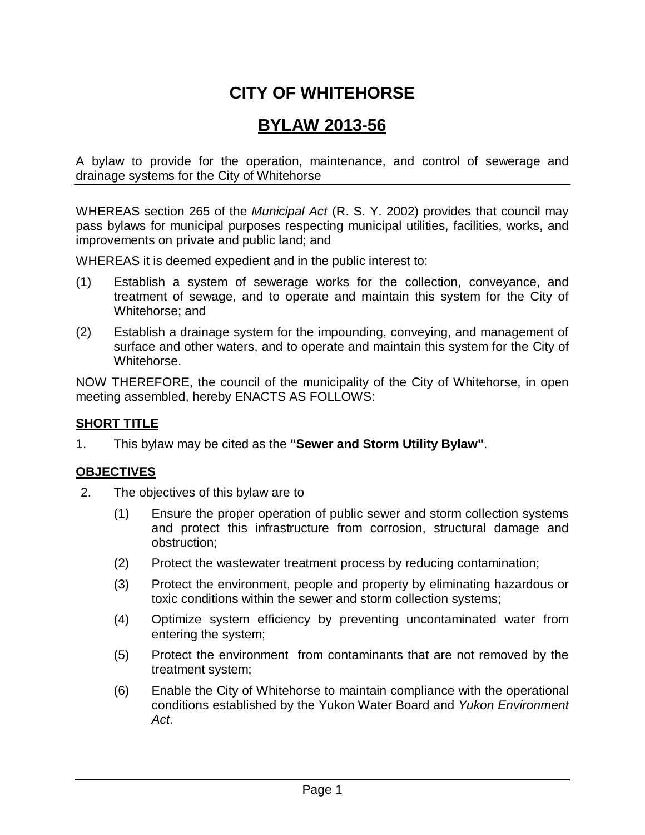# **CITY OF WHITEHORSE**

# **BYLAW 2013-56**

A bylaw to provide for the operation, maintenance, and control of sewerage and drainage systems for the City of Whitehorse

WHEREAS section 265 of the *Municipal Act* (R. S. Y. 2002) provides that council may pass bylaws for municipal purposes respecting municipal utilities, facilities, works, and improvements on private and public land; and

WHEREAS it is deemed expedient and in the public interest to:

- (1) Establish a system of sewerage works for the collection, conveyance, and treatment of sewage, and to operate and maintain this system for the City of Whitehorse; and
- (2) Establish a drainage system for the impounding, conveying, and management of surface and other waters, and to operate and maintain this system for the City of Whitehorse.

NOW THEREFORE, the council of the municipality of the City of Whitehorse, in open meeting assembled, hereby ENACTS AS FOLLOWS:

#### **SHORT TITLE**

1. This bylaw may be cited as the **"Sewer and Storm Utility Bylaw"**.

## **OBJECTIVES**

- 2. The objectives of this bylaw are to
	- (1) Ensure the proper operation of public sewer and storm collection systems and protect this infrastructure from corrosion, structural damage and obstruction;
	- (2) Protect the wastewater treatment process by reducing contamination;
	- (3) Protect the environment, people and property by eliminating hazardous or toxic conditions within the sewer and storm collection systems;
	- (4) Optimize system efficiency by preventing uncontaminated water from entering the system;
	- (5) Protect the environment from contaminants that are not removed by the treatment system;
	- (6) Enable the City of Whitehorse to maintain compliance with the operational conditions established by the Yukon Water Board and *Yukon Environment Act*.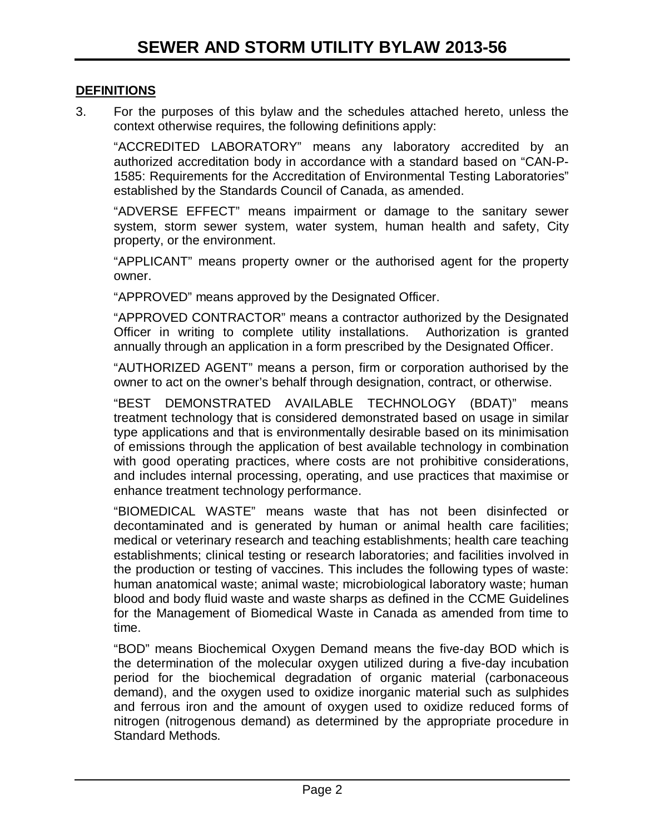#### **DEFINITIONS**

3. For the purposes of this bylaw and the schedules attached hereto, unless the context otherwise requires, the following definitions apply:

"ACCREDITED LABORATORY" means any laboratory accredited by an authorized accreditation body in accordance with a standard based on "CAN-P-1585: Requirements for the Accreditation of Environmental Testing Laboratories" established by the Standards Council of Canada, as amended.

"ADVERSE EFFECT" means impairment or damage to the sanitary sewer system, storm sewer system, water system, human health and safety, City property, or the environment.

"APPLICANT" means property owner or the authorised agent for the property owner.

"APPROVED" means approved by the Designated Officer.

"APPROVED CONTRACTOR" means a contractor authorized by the Designated Officer in writing to complete utility installations. Authorization is granted annually through an application in a form prescribed by the Designated Officer.

"AUTHORIZED AGENT" means a person, firm or corporation authorised by the owner to act on the owner's behalf through designation, contract, or otherwise.

"BEST DEMONSTRATED AVAILABLE TECHNOLOGY (BDAT)" means treatment technology that is considered demonstrated based on usage in similar type applications and that is environmentally desirable based on its minimisation of emissions through the application of best available technology in combination with good operating practices, where costs are not prohibitive considerations, and includes internal processing, operating, and use practices that maximise or enhance treatment technology performance.

"BIOMEDICAL WASTE" means waste that has not been disinfected or decontaminated and is generated by human or animal health care facilities; medical or veterinary research and teaching establishments; health care teaching establishments; clinical testing or research laboratories; and facilities involved in the production or testing of vaccines. This includes the following types of waste: human anatomical waste; animal waste; microbiological laboratory waste; human blood and body fluid waste and waste sharps as defined in the CCME Guidelines for the Management of Biomedical Waste in Canada as amended from time to time.

"BOD" means Biochemical Oxygen Demand means the five-day BOD which is the determination of the molecular oxygen utilized during a five-day incubation period for the biochemical degradation of organic material (carbonaceous demand), and the oxygen used to oxidize inorganic material such as sulphides and ferrous iron and the amount of oxygen used to oxidize reduced forms of nitrogen (nitrogenous demand) as determined by the appropriate procedure in Standard Methods.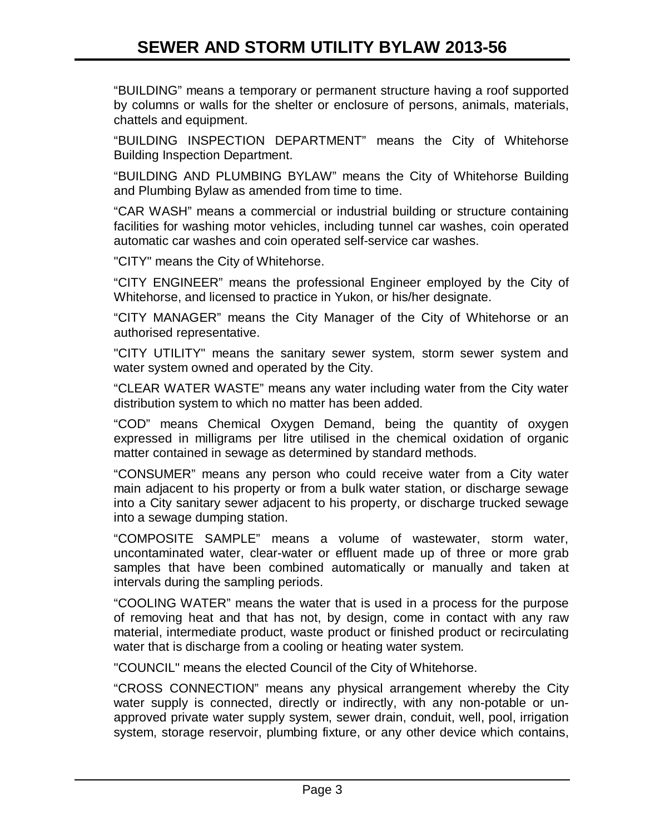"BUILDING" means a temporary or permanent structure having a roof supported by columns or walls for the shelter or enclosure of persons, animals, materials, chattels and equipment.

"BUILDING INSPECTION DEPARTMENT" means the City of Whitehorse Building Inspection Department.

"BUILDING AND PLUMBING BYLAW" means the City of Whitehorse Building and Plumbing Bylaw as amended from time to time.

"CAR WASH" means a commercial or industrial building or structure containing facilities for washing motor vehicles, including tunnel car washes, coin operated automatic car washes and coin operated self-service car washes.

"CITY" means the City of Whitehorse.

"CITY ENGINEER" means the professional Engineer employed by the City of Whitehorse, and licensed to practice in Yukon, or his/her designate.

"CITY MANAGER" means the City Manager of the City of Whitehorse or an authorised representative.

"CITY UTILITY" means the sanitary sewer system, storm sewer system and water system owned and operated by the City.

"CLEAR WATER WASTE" means any water including water from the City water distribution system to which no matter has been added.

"COD" means Chemical Oxygen Demand, being the quantity of oxygen expressed in milligrams per litre utilised in the chemical oxidation of organic matter contained in sewage as determined by standard methods.

"CONSUMER" means any person who could receive water from a City water main adjacent to his property or from a bulk water station, or discharge sewage into a City sanitary sewer adjacent to his property, or discharge trucked sewage into a sewage dumping station.

"COMPOSITE SAMPLE" means a volume of wastewater, storm water, uncontaminated water, clear-water or effluent made up of three or more grab samples that have been combined automatically or manually and taken at intervals during the sampling periods.

"COOLING WATER" means the water that is used in a process for the purpose of removing heat and that has not, by design, come in contact with any raw material, intermediate product, waste product or finished product or recirculating water that is discharge from a cooling or heating water system.

"COUNCIL" means the elected Council of the City of Whitehorse.

"CROSS CONNECTION" means any physical arrangement whereby the City water supply is connected, directly or indirectly, with any non-potable or unapproved private water supply system, sewer drain, conduit, well, pool, irrigation system, storage reservoir, plumbing fixture, or any other device which contains,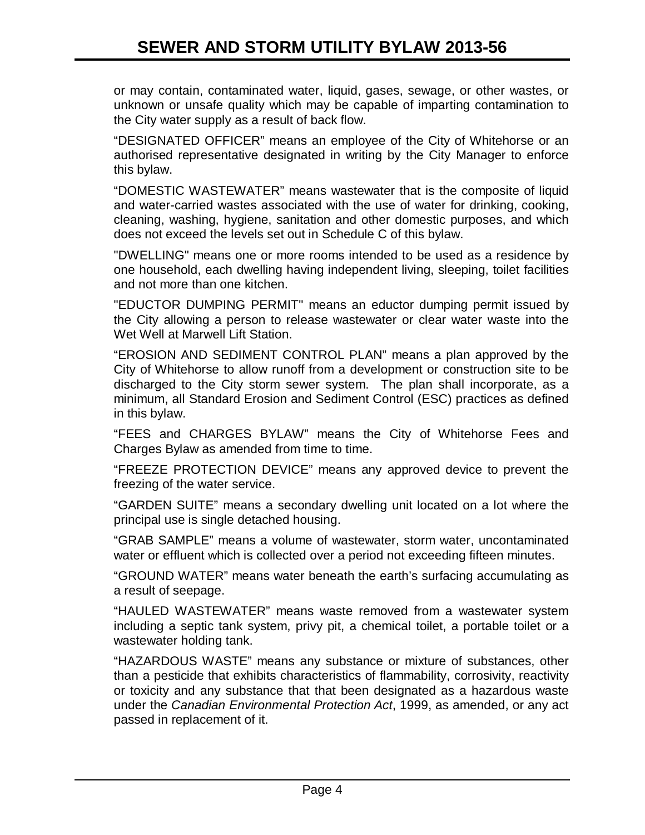or may contain, contaminated water, liquid, gases, sewage, or other wastes, or unknown or unsafe quality which may be capable of imparting contamination to the City water supply as a result of back flow.

"DESIGNATED OFFICER" means an employee of the City of Whitehorse or an authorised representative designated in writing by the City Manager to enforce this bylaw.

"DOMESTIC WASTEWATER" means wastewater that is the composite of liquid and water-carried wastes associated with the use of water for drinking, cooking, cleaning, washing, hygiene, sanitation and other domestic purposes, and which does not exceed the levels set out in Schedule C of this bylaw.

"DWELLING" means one or more rooms intended to be used as a residence by one household, each dwelling having independent living, sleeping, toilet facilities and not more than one kitchen.

"EDUCTOR DUMPING PERMIT" means an eductor dumping permit issued by the City allowing a person to release wastewater or clear water waste into the Wet Well at Marwell Lift Station.

"EROSION AND SEDIMENT CONTROL PLAN" means a plan approved by the City of Whitehorse to allow runoff from a development or construction site to be discharged to the City storm sewer system. The plan shall incorporate, as a minimum, all Standard Erosion and Sediment Control (ESC) practices as defined in this bylaw.

"FEES and CHARGES BYLAW" means the City of Whitehorse Fees and Charges Bylaw as amended from time to time.

"FREEZE PROTECTION DEVICE" means any approved device to prevent the freezing of the water service.

"GARDEN SUITE" means a secondary dwelling unit located on a lot where the principal use is single detached housing.

"GRAB SAMPLE" means a volume of wastewater, storm water, uncontaminated water or effluent which is collected over a period not exceeding fifteen minutes.

"GROUND WATER" means water beneath the earth's surfacing accumulating as a result of seepage.

"HAULED WASTEWATER" means waste removed from a wastewater system including a septic tank system, privy pit, a chemical toilet, a portable toilet or a wastewater holding tank.

"HAZARDOUS WASTE" means any substance or mixture of substances, other than a pesticide that exhibits characteristics of flammability, corrosivity, reactivity or toxicity and any substance that that been designated as a hazardous waste under the *Canadian Environmental Protection Act*, 1999, as amended, or any act passed in replacement of it.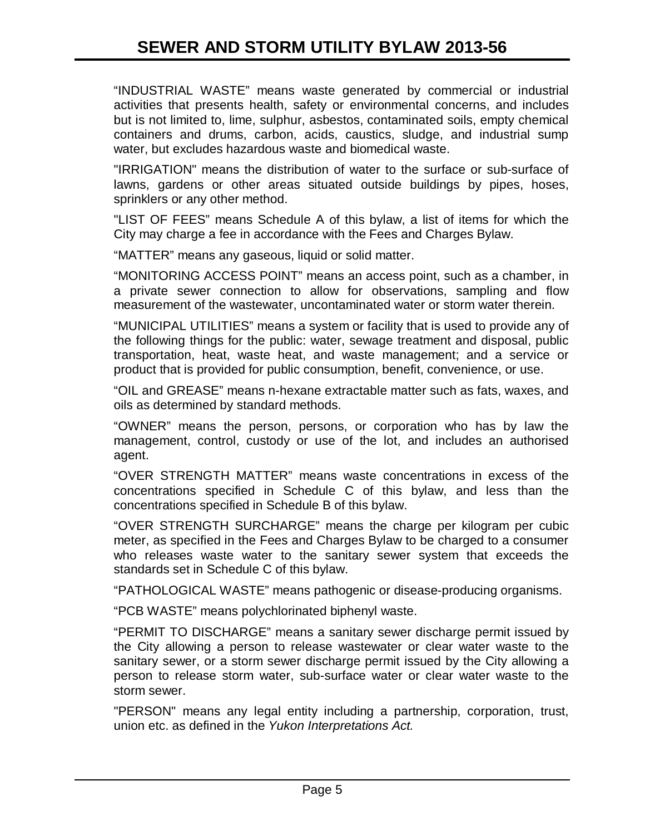"INDUSTRIAL WASTE" means waste generated by commercial or industrial activities that presents health, safety or environmental concerns, and includes but is not limited to, lime, sulphur, asbestos, contaminated soils, empty chemical containers and drums, carbon, acids, caustics, sludge, and industrial sump water, but excludes hazardous waste and biomedical waste.

"IRRIGATION" means the distribution of water to the surface or sub-surface of lawns, gardens or other areas situated outside buildings by pipes, hoses, sprinklers or any other method.

"LIST OF FEES" means Schedule A of this bylaw, a list of items for which the City may charge a fee in accordance with the Fees and Charges Bylaw.

"MATTER" means any gaseous, liquid or solid matter.

"MONITORING ACCESS POINT" means an access point, such as a chamber, in a private sewer connection to allow for observations, sampling and flow measurement of the wastewater, uncontaminated water or storm water therein.

"MUNICIPAL UTILITIES" means a system or facility that is used to provide any of the following things for the public: water, sewage treatment and disposal, public transportation, heat, waste heat, and waste management; and a service or product that is provided for public consumption, benefit, convenience, or use.

"OIL and GREASE" means n-hexane extractable matter such as fats, waxes, and oils as determined by standard methods.

"OWNER" means the person, persons, or corporation who has by law the management, control, custody or use of the lot, and includes an authorised agent.

"OVER STRENGTH MATTER" means waste concentrations in excess of the concentrations specified in Schedule C of this bylaw, and less than the concentrations specified in Schedule B of this bylaw.

"OVER STRENGTH SURCHARGE" means the charge per kilogram per cubic meter, as specified in the Fees and Charges Bylaw to be charged to a consumer who releases waste water to the sanitary sewer system that exceeds the standards set in Schedule C of this bylaw.

"PATHOLOGICAL WASTE" means pathogenic or disease-producing organisms.

"PCB WASTE" means polychlorinated biphenyl waste.

"PERMIT TO DISCHARGE" means a sanitary sewer discharge permit issued by the City allowing a person to release wastewater or clear water waste to the sanitary sewer, or a storm sewer discharge permit issued by the City allowing a person to release storm water, sub-surface water or clear water waste to the storm sewer.

"PERSON" means any legal entity including a partnership, corporation, trust, union etc. as defined in the *Yukon Interpretations Act.*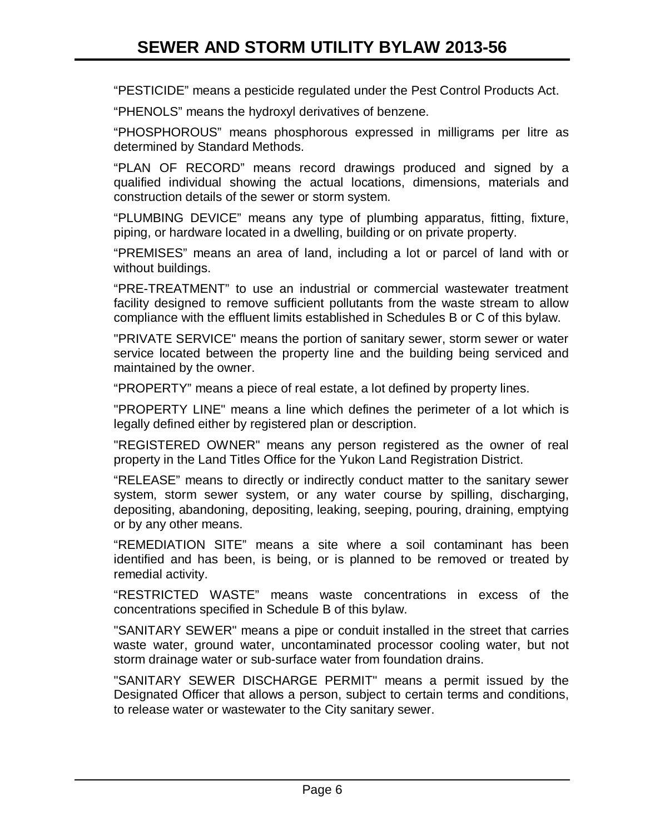"PESTICIDE" means a pesticide regulated under the Pest Control Products Act.

"PHENOLS" means the hydroxyl derivatives of benzene.

"PHOSPHOROUS" means phosphorous expressed in milligrams per litre as determined by Standard Methods.

"PLAN OF RECORD" means record drawings produced and signed by a qualified individual showing the actual locations, dimensions, materials and construction details of the sewer or storm system.

"PLUMBING DEVICE" means any type of plumbing apparatus, fitting, fixture, piping, or hardware located in a dwelling, building or on private property.

"PREMISES" means an area of land, including a lot or parcel of land with or without buildings.

"PRE-TREATMENT" to use an industrial or commercial wastewater treatment facility designed to remove sufficient pollutants from the waste stream to allow compliance with the effluent limits established in Schedules B or C of this bylaw.

"PRIVATE SERVICE" means the portion of sanitary sewer, storm sewer or water service located between the property line and the building being serviced and maintained by the owner.

"PROPERTY" means a piece of real estate, a lot defined by property lines.

"PROPERTY LINE" means a line which defines the perimeter of a lot which is legally defined either by registered plan or description.

"REGISTERED OWNER" means any person registered as the owner of real property in the Land Titles Office for the Yukon Land Registration District.

"RELEASE" means to directly or indirectly conduct matter to the sanitary sewer system, storm sewer system, or any water course by spilling, discharging, depositing, abandoning, depositing, leaking, seeping, pouring, draining, emptying or by any other means.

"REMEDIATION SITE" means a site where a soil contaminant has been identified and has been, is being, or is planned to be removed or treated by remedial activity.

"RESTRICTED WASTE" means waste concentrations in excess of the concentrations specified in Schedule B of this bylaw.

"SANITARY SEWER" means a pipe or conduit installed in the street that carries waste water, ground water, uncontaminated processor cooling water, but not storm drainage water or sub-surface water from foundation drains.

"SANITARY SEWER DISCHARGE PERMIT" means a permit issued by the Designated Officer that allows a person, subject to certain terms and conditions, to release water or wastewater to the City sanitary sewer.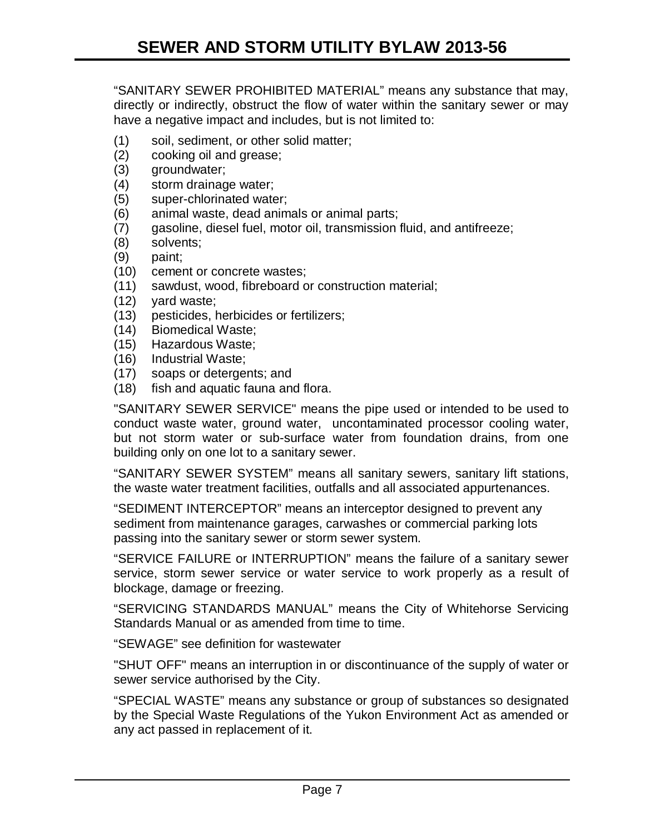"SANITARY SEWER PROHIBITED MATERIAL" means any substance that may, directly or indirectly, obstruct the flow of water within the sanitary sewer or may have a negative impact and includes, but is not limited to:

- (1) soil, sediment, or other solid matter;
- (2) cooking oil and grease;
- (3) groundwater;
- (4) storm drainage water;
- (5) super-chlorinated water;
- (6) animal waste, dead animals or animal parts;
- (7) gasoline, diesel fuel, motor oil, transmission fluid, and antifreeze;
- (8) solvents;
- (9) paint;
- (10) cement or concrete wastes;
- (11) sawdust, wood, fibreboard or construction material;
- (12) yard waste;
- (13) pesticides, herbicides or fertilizers;
- (14) Biomedical Waste;
- (15) Hazardous Waste;
- (16) Industrial Waste;
- (17) soaps or detergents; and
- (18) fish and aquatic fauna and flora.

"SANITARY SEWER SERVICE" means the pipe used or intended to be used to conduct waste water, ground water, uncontaminated processor cooling water, but not storm water or sub-surface water from foundation drains, from one building only on one lot to a sanitary sewer.

"SANITARY SEWER SYSTEM" means all sanitary sewers, sanitary lift stations, the waste water treatment facilities, outfalls and all associated appurtenances.

"SEDIMENT INTERCEPTOR" means an interceptor designed to prevent any sediment from maintenance garages, carwashes or commercial parking lots passing into the sanitary sewer or storm sewer system.

"SERVICE FAILURE or INTERRUPTION" means the failure of a sanitary sewer service, storm sewer service or water service to work properly as a result of blockage, damage or freezing.

"SERVICING STANDARDS MANUAL" means the City of Whitehorse Servicing Standards Manual or as amended from time to time.

"SEWAGE" see definition for wastewater

"SHUT OFF" means an interruption in or discontinuance of the supply of water or sewer service authorised by the City.

"SPECIAL WASTE" means any substance or group of substances so designated by the Special Waste Regulations of the Yukon Environment Act as amended or any act passed in replacement of it.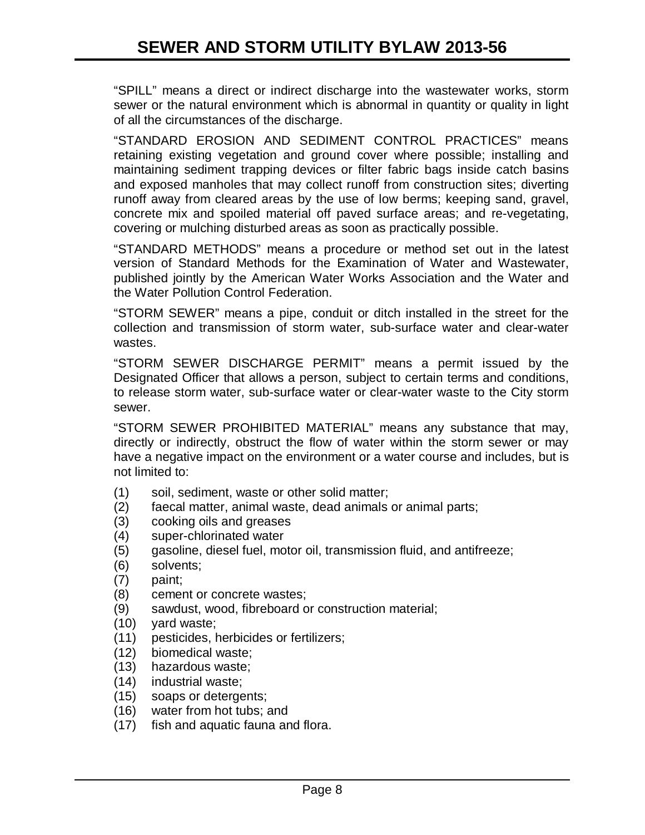"SPILL" means a direct or indirect discharge into the wastewater works, storm sewer or the natural environment which is abnormal in quantity or quality in light of all the circumstances of the discharge.

"STANDARD EROSION AND SEDIMENT CONTROL PRACTICES" means retaining existing vegetation and ground cover where possible; installing and maintaining sediment trapping devices or filter fabric bags inside catch basins and exposed manholes that may collect runoff from construction sites; diverting runoff away from cleared areas by the use of low berms; keeping sand, gravel, concrete mix and spoiled material off paved surface areas; and re-vegetating, covering or mulching disturbed areas as soon as practically possible.

"STANDARD METHODS" means a procedure or method set out in the latest version of Standard Methods for the Examination of Water and Wastewater, published jointly by the American Water Works Association and the Water and the Water Pollution Control Federation.

"STORM SEWER" means a pipe, conduit or ditch installed in the street for the collection and transmission of storm water, sub-surface water and clear-water wastes.

"STORM SEWER DISCHARGE PERMIT" means a permit issued by the Designated Officer that allows a person, subject to certain terms and conditions, to release storm water, sub-surface water or clear-water waste to the City storm sewer.

"STORM SEWER PROHIBITED MATERIAL" means any substance that may, directly or indirectly, obstruct the flow of water within the storm sewer or may have a negative impact on the environment or a water course and includes, but is not limited to:

- (1) soil, sediment, waste or other solid matter;
- (2) faecal matter, animal waste, dead animals or animal parts;
- (3) cooking oils and greases
- (4) super-chlorinated water
- (5) gasoline, diesel fuel, motor oil, transmission fluid, and antifreeze;
- (6) solvents;
- (7) paint;
- (8) cement or concrete wastes;
- (9) sawdust, wood, fibreboard or construction material;
- (10) yard waste;
- (11) pesticides, herbicides or fertilizers;
- (12) biomedical waste;
- (13) hazardous waste;
- (14) industrial waste;
- (15) soaps or detergents;
- (16) water from hot tubs; and
- (17) fish and aquatic fauna and flora.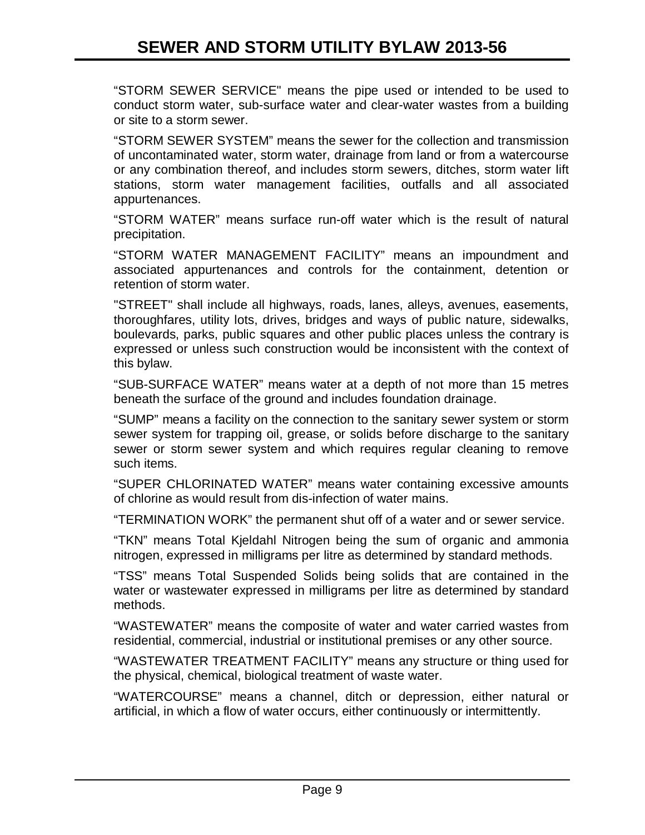"STORM SEWER SERVICE" means the pipe used or intended to be used to conduct storm water, sub-surface water and clear-water wastes from a building or site to a storm sewer.

"STORM SEWER SYSTEM" means the sewer for the collection and transmission of uncontaminated water, storm water, drainage from land or from a watercourse or any combination thereof, and includes storm sewers, ditches, storm water lift stations, storm water management facilities, outfalls and all associated appurtenances.

"STORM WATER" means surface run-off water which is the result of natural precipitation.

"STORM WATER MANAGEMENT FACILITY" means an impoundment and associated appurtenances and controls for the containment, detention or retention of storm water.

"STREET" shall include all highways, roads, lanes, alleys, avenues, easements, thoroughfares, utility lots, drives, bridges and ways of public nature, sidewalks, boulevards, parks, public squares and other public places unless the contrary is expressed or unless such construction would be inconsistent with the context of this bylaw.

"SUB-SURFACE WATER" means water at a depth of not more than 15 metres beneath the surface of the ground and includes foundation drainage.

"SUMP" means a facility on the connection to the sanitary sewer system or storm sewer system for trapping oil, grease, or solids before discharge to the sanitary sewer or storm sewer system and which requires regular cleaning to remove such items.

"SUPER CHLORINATED WATER" means water containing excessive amounts of chlorine as would result from dis-infection of water mains.

"TERMINATION WORK" the permanent shut off of a water and or sewer service.

"TKN" means Total Kjeldahl Nitrogen being the sum of organic and ammonia nitrogen, expressed in milligrams per litre as determined by standard methods.

"TSS" means Total Suspended Solids being solids that are contained in the water or wastewater expressed in milligrams per litre as determined by standard methods.

"WASTEWATER" means the composite of water and water carried wastes from residential, commercial, industrial or institutional premises or any other source.

"WASTEWATER TREATMENT FACILITY" means any structure or thing used for the physical, chemical, biological treatment of waste water.

"WATERCOURSE" means a channel, ditch or depression, either natural or artificial, in which a flow of water occurs, either continuously or intermittently.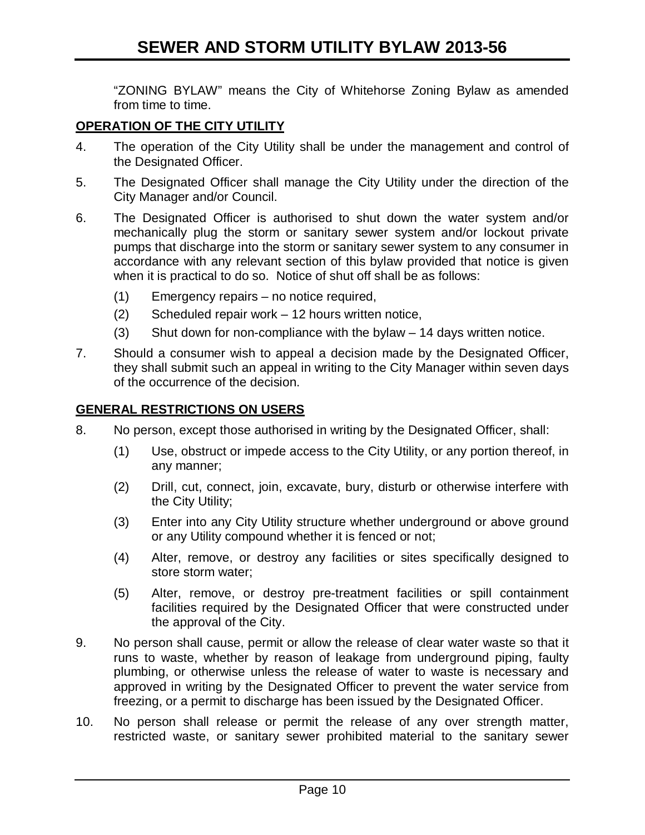"ZONING BYLAW" means the City of Whitehorse Zoning Bylaw as amended from time to time.

#### **OPERATION OF THE CITY UTILITY**

- 4. The operation of the City Utility shall be under the management and control of the Designated Officer.
- 5. The Designated Officer shall manage the City Utility under the direction of the City Manager and/or Council.
- 6. The Designated Officer is authorised to shut down the water system and/or mechanically plug the storm or sanitary sewer system and/or lockout private pumps that discharge into the storm or sanitary sewer system to any consumer in accordance with any relevant section of this bylaw provided that notice is given when it is practical to do so. Notice of shut off shall be as follows:
	- (1) Emergency repairs no notice required,
	- (2) Scheduled repair work 12 hours written notice,
	- (3) Shut down for non-compliance with the bylaw 14 days written notice.
- 7. Should a consumer wish to appeal a decision made by the Designated Officer, they shall submit such an appeal in writing to the City Manager within seven days of the occurrence of the decision.

#### **GENERAL RESTRICTIONS ON USERS**

- 8. No person, except those authorised in writing by the Designated Officer, shall:
	- (1) Use, obstruct or impede access to the City Utility, or any portion thereof, in any manner;
	- (2) Drill, cut, connect, join, excavate, bury, disturb or otherwise interfere with the City Utility;
	- (3) Enter into any City Utility structure whether underground or above ground or any Utility compound whether it is fenced or not;
	- (4) Alter, remove, or destroy any facilities or sites specifically designed to store storm water;
	- (5) Alter, remove, or destroy pre-treatment facilities or spill containment facilities required by the Designated Officer that were constructed under the approval of the City.
- 9. No person shall cause, permit or allow the release of clear water waste so that it runs to waste, whether by reason of leakage from underground piping, faulty plumbing, or otherwise unless the release of water to waste is necessary and approved in writing by the Designated Officer to prevent the water service from freezing, or a permit to discharge has been issued by the Designated Officer.
- 10. No person shall release or permit the release of any over strength matter, restricted waste, or sanitary sewer prohibited material to the sanitary sewer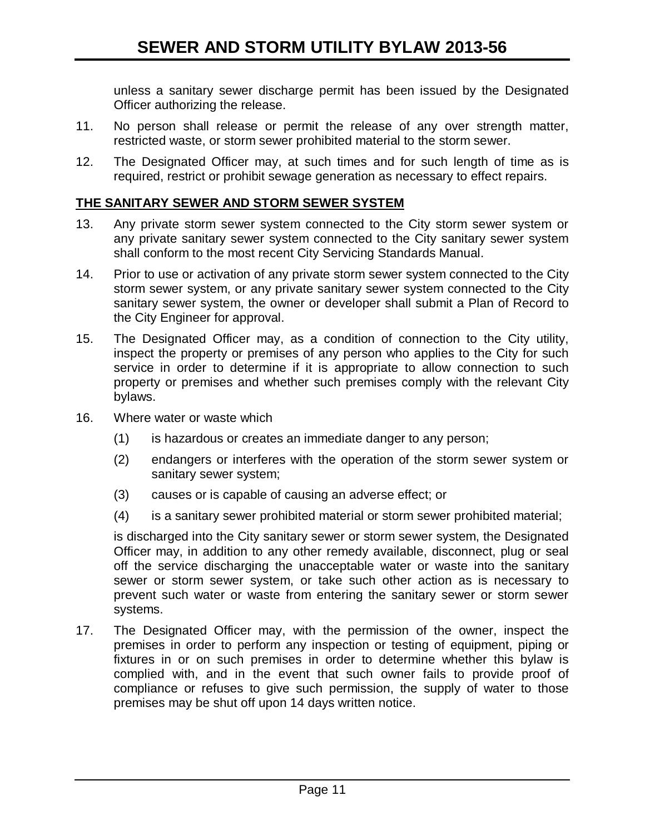unless a sanitary sewer discharge permit has been issued by the Designated Officer authorizing the release.

- 11. No person shall release or permit the release of any over strength matter, restricted waste, or storm sewer prohibited material to the storm sewer.
- 12. The Designated Officer may, at such times and for such length of time as is required, restrict or prohibit sewage generation as necessary to effect repairs.

## **THE SANITARY SEWER AND STORM SEWER SYSTEM**

- 13. Any private storm sewer system connected to the City storm sewer system or any private sanitary sewer system connected to the City sanitary sewer system shall conform to the most recent City Servicing Standards Manual.
- 14. Prior to use or activation of any private storm sewer system connected to the City storm sewer system, or any private sanitary sewer system connected to the City sanitary sewer system, the owner or developer shall submit a Plan of Record to the City Engineer for approval.
- 15. The Designated Officer may, as a condition of connection to the City utility, inspect the property or premises of any person who applies to the City for such service in order to determine if it is appropriate to allow connection to such property or premises and whether such premises comply with the relevant City bylaws.
- 16. Where water or waste which
	- (1) is hazardous or creates an immediate danger to any person;
	- (2) endangers or interferes with the operation of the storm sewer system or sanitary sewer system;
	- (3) causes or is capable of causing an adverse effect; or
	- (4) is a sanitary sewer prohibited material or storm sewer prohibited material;

is discharged into the City sanitary sewer or storm sewer system, the Designated Officer may, in addition to any other remedy available, disconnect, plug or seal off the service discharging the unacceptable water or waste into the sanitary sewer or storm sewer system, or take such other action as is necessary to prevent such water or waste from entering the sanitary sewer or storm sewer systems.

17. The Designated Officer may, with the permission of the owner, inspect the premises in order to perform any inspection or testing of equipment, piping or fixtures in or on such premises in order to determine whether this bylaw is complied with, and in the event that such owner fails to provide proof of compliance or refuses to give such permission, the supply of water to those premises may be shut off upon 14 days written notice.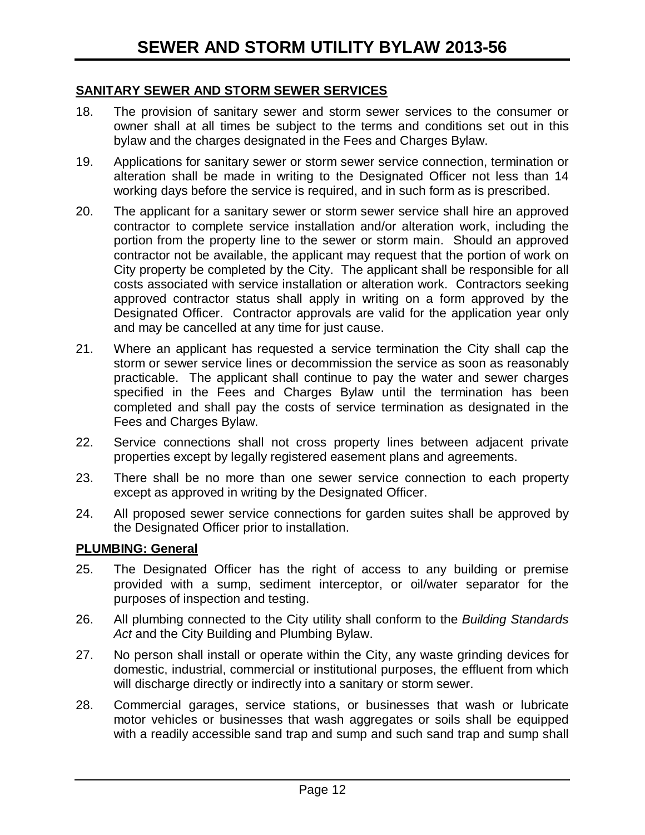#### **SANITARY SEWER AND STORM SEWER SERVICES**

- 18. The provision of sanitary sewer and storm sewer services to the consumer or owner shall at all times be subject to the terms and conditions set out in this bylaw and the charges designated in the Fees and Charges Bylaw.
- 19. Applications for sanitary sewer or storm sewer service connection, termination or alteration shall be made in writing to the Designated Officer not less than 14 working days before the service is required, and in such form as is prescribed.
- 20. The applicant for a sanitary sewer or storm sewer service shall hire an approved contractor to complete service installation and/or alteration work, including the portion from the property line to the sewer or storm main. Should an approved contractor not be available, the applicant may request that the portion of work on City property be completed by the City. The applicant shall be responsible for all costs associated with service installation or alteration work. Contractors seeking approved contractor status shall apply in writing on a form approved by the Designated Officer. Contractor approvals are valid for the application year only and may be cancelled at any time for just cause.
- 21. Where an applicant has requested a service termination the City shall cap the storm or sewer service lines or decommission the service as soon as reasonably practicable. The applicant shall continue to pay the water and sewer charges specified in the Fees and Charges Bylaw until the termination has been completed and shall pay the costs of service termination as designated in the Fees and Charges Bylaw.
- 22. Service connections shall not cross property lines between adjacent private properties except by legally registered easement plans and agreements.
- 23. There shall be no more than one sewer service connection to each property except as approved in writing by the Designated Officer.
- 24. All proposed sewer service connections for garden suites shall be approved by the Designated Officer prior to installation.

#### **PLUMBING: General**

- 25. The Designated Officer has the right of access to any building or premise provided with a sump, sediment interceptor, or oil/water separator for the purposes of inspection and testing.
- 26. All plumbing connected to the City utility shall conform to the *Building Standards Act* and the City Building and Plumbing Bylaw.
- 27. No person shall install or operate within the City, any waste grinding devices for domestic, industrial, commercial or institutional purposes, the effluent from which will discharge directly or indirectly into a sanitary or storm sewer.
- 28. Commercial garages, service stations, or businesses that wash or lubricate motor vehicles or businesses that wash aggregates or soils shall be equipped with a readily accessible sand trap and sump and such sand trap and sump shall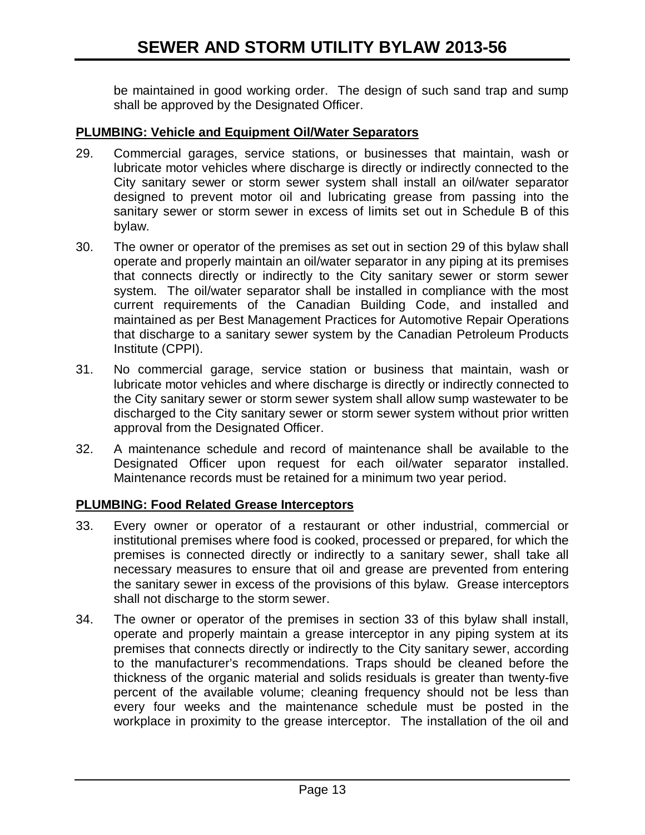be maintained in good working order. The design of such sand trap and sump shall be approved by the Designated Officer.

#### **PLUMBING: Vehicle and Equipment Oil/Water Separators**

- 29. Commercial garages, service stations, or businesses that maintain, wash or lubricate motor vehicles where discharge is directly or indirectly connected to the City sanitary sewer or storm sewer system shall install an oil/water separator designed to prevent motor oil and lubricating grease from passing into the sanitary sewer or storm sewer in excess of limits set out in Schedule B of this bylaw.
- 30. The owner or operator of the premises as set out in section 29 of this bylaw shall operate and properly maintain an oil/water separator in any piping at its premises that connects directly or indirectly to the City sanitary sewer or storm sewer system. The oil/water separator shall be installed in compliance with the most current requirements of the Canadian Building Code, and installed and maintained as per Best Management Practices for Automotive Repair Operations that discharge to a sanitary sewer system by the Canadian Petroleum Products Institute (CPPI).
- 31. No commercial garage, service station or business that maintain, wash or lubricate motor vehicles and where discharge is directly or indirectly connected to the City sanitary sewer or storm sewer system shall allow sump wastewater to be discharged to the City sanitary sewer or storm sewer system without prior written approval from the Designated Officer.
- 32. A maintenance schedule and record of maintenance shall be available to the Designated Officer upon request for each oil/water separator installed. Maintenance records must be retained for a minimum two year period.

#### **PLUMBING: Food Related Grease Interceptors**

- 33. Every owner or operator of a restaurant or other industrial, commercial or institutional premises where food is cooked, processed or prepared, for which the premises is connected directly or indirectly to a sanitary sewer, shall take all necessary measures to ensure that oil and grease are prevented from entering the sanitary sewer in excess of the provisions of this bylaw. Grease interceptors shall not discharge to the storm sewer.
- 34. The owner or operator of the premises in section 33 of this bylaw shall install, operate and properly maintain a grease interceptor in any piping system at its premises that connects directly or indirectly to the City sanitary sewer, according to the manufacturer's recommendations. Traps should be cleaned before the thickness of the organic material and solids residuals is greater than twenty-five percent of the available volume; cleaning frequency should not be less than every four weeks and the maintenance schedule must be posted in the workplace in proximity to the grease interceptor. The installation of the oil and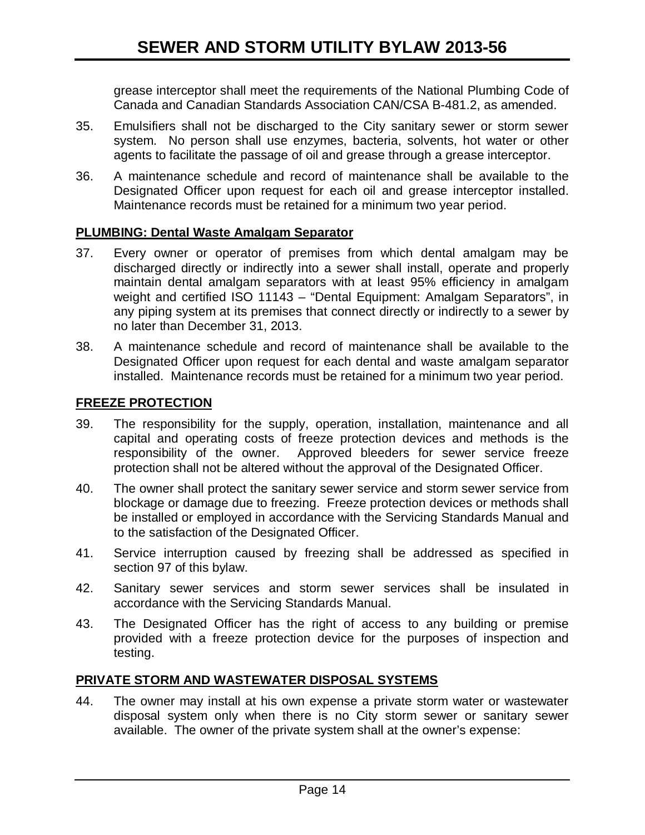grease interceptor shall meet the requirements of the National Plumbing Code of Canada and Canadian Standards Association CAN/CSA B-481.2, as amended.

- 35. Emulsifiers shall not be discharged to the City sanitary sewer or storm sewer system. No person shall use enzymes, bacteria, solvents, hot water or other agents to facilitate the passage of oil and grease through a grease interceptor.
- 36. A maintenance schedule and record of maintenance shall be available to the Designated Officer upon request for each oil and grease interceptor installed. Maintenance records must be retained for a minimum two year period.

#### **PLUMBING: Dental Waste Amalgam Separator**

- 37. Every owner or operator of premises from which dental amalgam may be discharged directly or indirectly into a sewer shall install, operate and properly maintain dental amalgam separators with at least 95% efficiency in amalgam weight and certified ISO 11143 – "Dental Equipment: Amalgam Separators", in any piping system at its premises that connect directly or indirectly to a sewer by no later than December 31, 2013.
- 38. A maintenance schedule and record of maintenance shall be available to the Designated Officer upon request for each dental and waste amalgam separator installed. Maintenance records must be retained for a minimum two year period.

#### **FREEZE PROTECTION**

- 39. The responsibility for the supply, operation, installation, maintenance and all capital and operating costs of freeze protection devices and methods is the responsibility of the owner. Approved bleeders for sewer service freeze protection shall not be altered without the approval of the Designated Officer.
- 40. The owner shall protect the sanitary sewer service and storm sewer service from blockage or damage due to freezing. Freeze protection devices or methods shall be installed or employed in accordance with the Servicing Standards Manual and to the satisfaction of the Designated Officer.
- 41. Service interruption caused by freezing shall be addressed as specified in section 97 of this bylaw.
- 42. Sanitary sewer services and storm sewer services shall be insulated in accordance with the Servicing Standards Manual.
- 43. The Designated Officer has the right of access to any building or premise provided with a freeze protection device for the purposes of inspection and testing.

#### **PRIVATE STORM AND WASTEWATER DISPOSAL SYSTEMS**

44. The owner may install at his own expense a private storm water or wastewater disposal system only when there is no City storm sewer or sanitary sewer available. The owner of the private system shall at the owner's expense: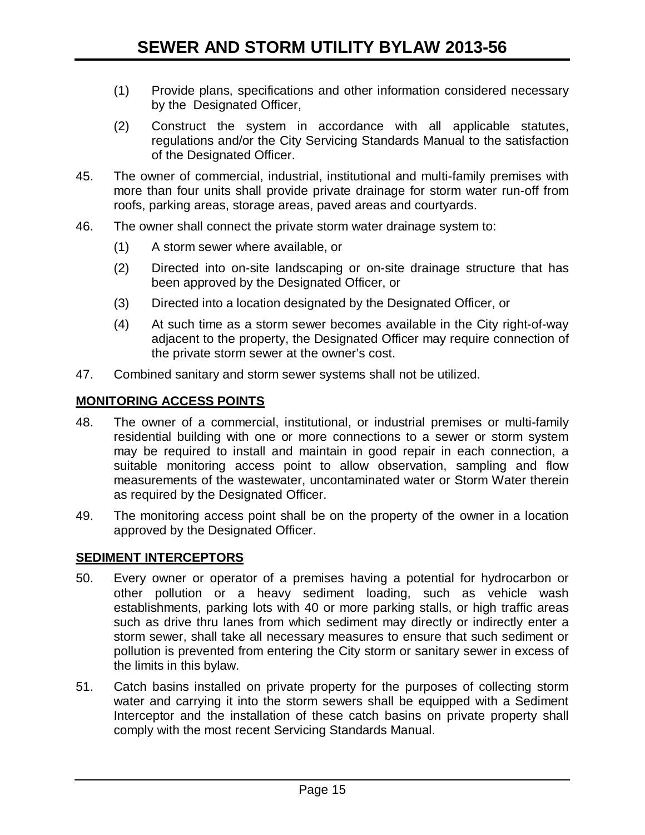- (1) Provide plans, specifications and other information considered necessary by the Designated Officer,
- (2) Construct the system in accordance with all applicable statutes, regulations and/or the City Servicing Standards Manual to the satisfaction of the Designated Officer.
- 45. The owner of commercial, industrial, institutional and multi-family premises with more than four units shall provide private drainage for storm water run-off from roofs, parking areas, storage areas, paved areas and courtyards.
- 46. The owner shall connect the private storm water drainage system to:
	- (1) A storm sewer where available, or
	- (2) Directed into on-site landscaping or on-site drainage structure that has been approved by the Designated Officer, or
	- (3) Directed into a location designated by the Designated Officer, or
	- (4) At such time as a storm sewer becomes available in the City right-of-way adjacent to the property, the Designated Officer may require connection of the private storm sewer at the owner's cost.
- 47. Combined sanitary and storm sewer systems shall not be utilized.

#### **MONITORING ACCESS POINTS**

- 48. The owner of a commercial, institutional, or industrial premises or multi-family residential building with one or more connections to a sewer or storm system may be required to install and maintain in good repair in each connection, a suitable monitoring access point to allow observation, sampling and flow measurements of the wastewater, uncontaminated water or Storm Water therein as required by the Designated Officer.
- 49. The monitoring access point shall be on the property of the owner in a location approved by the Designated Officer.

#### **SEDIMENT INTERCEPTORS**

- 50. Every owner or operator of a premises having a potential for hydrocarbon or other pollution or a heavy sediment loading, such as vehicle wash establishments, parking lots with 40 or more parking stalls, or high traffic areas such as drive thru lanes from which sediment may directly or indirectly enter a storm sewer, shall take all necessary measures to ensure that such sediment or pollution is prevented from entering the City storm or sanitary sewer in excess of the limits in this bylaw.
- 51. Catch basins installed on private property for the purposes of collecting storm water and carrying it into the storm sewers shall be equipped with a Sediment Interceptor and the installation of these catch basins on private property shall comply with the most recent Servicing Standards Manual.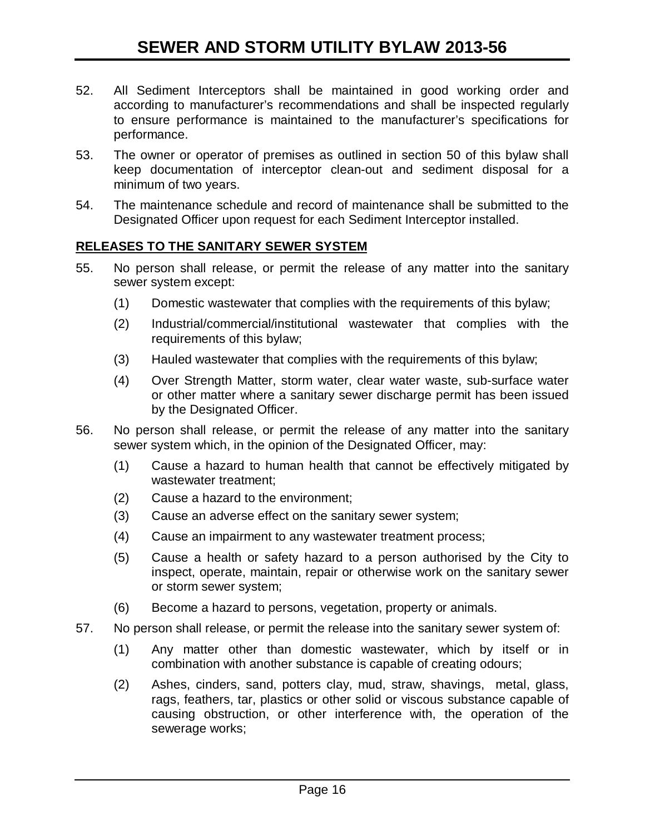- 52. All Sediment Interceptors shall be maintained in good working order and according to manufacturer's recommendations and shall be inspected regularly to ensure performance is maintained to the manufacturer's specifications for performance.
- 53. The owner or operator of premises as outlined in section 50 of this bylaw shall keep documentation of interceptor clean-out and sediment disposal for a minimum of two years.
- 54. The maintenance schedule and record of maintenance shall be submitted to the Designated Officer upon request for each Sediment Interceptor installed.

#### **RELEASES TO THE SANITARY SEWER SYSTEM**

- 55. No person shall release, or permit the release of any matter into the sanitary sewer system except:
	- (1) Domestic wastewater that complies with the requirements of this bylaw;
	- (2) Industrial/commercial/institutional wastewater that complies with the requirements of this bylaw;
	- (3) Hauled wastewater that complies with the requirements of this bylaw;
	- (4) Over Strength Matter, storm water, clear water waste, sub-surface water or other matter where a sanitary sewer discharge permit has been issued by the Designated Officer.
- 56. No person shall release, or permit the release of any matter into the sanitary sewer system which, in the opinion of the Designated Officer, may:
	- (1) Cause a hazard to human health that cannot be effectively mitigated by wastewater treatment;
	- (2) Cause a hazard to the environment;
	- (3) Cause an adverse effect on the sanitary sewer system;
	- (4) Cause an impairment to any wastewater treatment process;
	- (5) Cause a health or safety hazard to a person authorised by the City to inspect, operate, maintain, repair or otherwise work on the sanitary sewer or storm sewer system;
	- (6) Become a hazard to persons, vegetation, property or animals.
- 57. No person shall release, or permit the release into the sanitary sewer system of:
	- (1) Any matter other than domestic wastewater, which by itself or in combination with another substance is capable of creating odours;
	- (2) Ashes, cinders, sand, potters clay, mud, straw, shavings, metal, glass, rags, feathers, tar, plastics or other solid or viscous substance capable of causing obstruction, or other interference with, the operation of the sewerage works;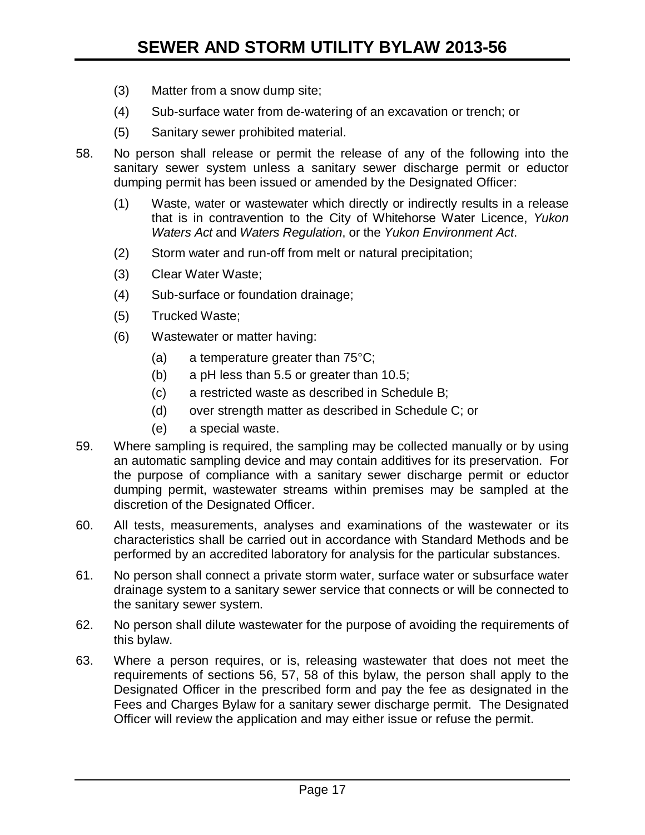- (3) Matter from a snow dump site;
- (4) Sub-surface water from de-watering of an excavation or trench; or
- (5) Sanitary sewer prohibited material.
- 58. No person shall release or permit the release of any of the following into the sanitary sewer system unless a sanitary sewer discharge permit or eductor dumping permit has been issued or amended by the Designated Officer:
	- (1) Waste, water or wastewater which directly or indirectly results in a release that is in contravention to the City of Whitehorse Water Licence, *Yukon Waters Act* and *Waters Regulation*, or the *Yukon Environment Act*.
	- (2) Storm water and run-off from melt or natural precipitation;
	- (3) Clear Water Waste;
	- (4) Sub-surface or foundation drainage;
	- (5) Trucked Waste;
	- (6) Wastewater or matter having:
		- (a) a temperature greater than 75°C;
		- (b) a pH less than 5.5 or greater than 10.5;
		- (c) a restricted waste as described in Schedule B;
		- (d) over strength matter as described in Schedule C; or
		- (e) a special waste.
- 59. Where sampling is required, the sampling may be collected manually or by using an automatic sampling device and may contain additives for its preservation. For the purpose of compliance with a sanitary sewer discharge permit or eductor dumping permit, wastewater streams within premises may be sampled at the discretion of the Designated Officer.
- 60. All tests, measurements, analyses and examinations of the wastewater or its characteristics shall be carried out in accordance with Standard Methods and be performed by an accredited laboratory for analysis for the particular substances.
- 61. No person shall connect a private storm water, surface water or subsurface water drainage system to a sanitary sewer service that connects or will be connected to the sanitary sewer system.
- 62. No person shall dilute wastewater for the purpose of avoiding the requirements of this bylaw.
- 63. Where a person requires, or is, releasing wastewater that does not meet the requirements of sections 56, 57, 58 of this bylaw, the person shall apply to the Designated Officer in the prescribed form and pay the fee as designated in the Fees and Charges Bylaw for a sanitary sewer discharge permit. The Designated Officer will review the application and may either issue or refuse the permit.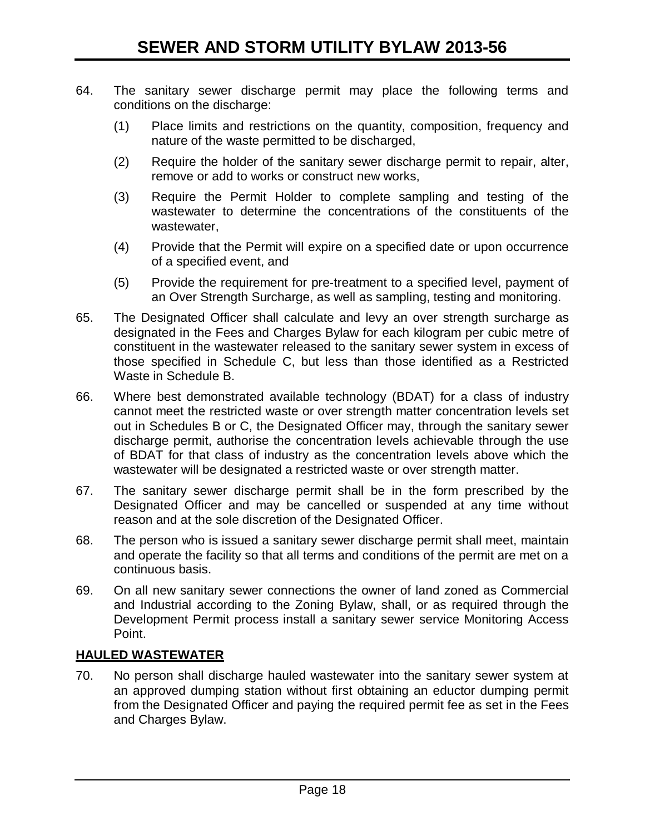- 64. The sanitary sewer discharge permit may place the following terms and conditions on the discharge:
	- (1) Place limits and restrictions on the quantity, composition, frequency and nature of the waste permitted to be discharged,
	- (2) Require the holder of the sanitary sewer discharge permit to repair, alter, remove or add to works or construct new works,
	- (3) Require the Permit Holder to complete sampling and testing of the wastewater to determine the concentrations of the constituents of the wastewater,
	- (4) Provide that the Permit will expire on a specified date or upon occurrence of a specified event, and
	- (5) Provide the requirement for pre-treatment to a specified level, payment of an Over Strength Surcharge, as well as sampling, testing and monitoring.
- 65. The Designated Officer shall calculate and levy an over strength surcharge as designated in the Fees and Charges Bylaw for each kilogram per cubic metre of constituent in the wastewater released to the sanitary sewer system in excess of those specified in Schedule C, but less than those identified as a Restricted Waste in Schedule B.
- 66. Where best demonstrated available technology (BDAT) for a class of industry cannot meet the restricted waste or over strength matter concentration levels set out in Schedules B or C, the Designated Officer may, through the sanitary sewer discharge permit, authorise the concentration levels achievable through the use of BDAT for that class of industry as the concentration levels above which the wastewater will be designated a restricted waste or over strength matter.
- 67. The sanitary sewer discharge permit shall be in the form prescribed by the Designated Officer and may be cancelled or suspended at any time without reason and at the sole discretion of the Designated Officer.
- 68. The person who is issued a sanitary sewer discharge permit shall meet, maintain and operate the facility so that all terms and conditions of the permit are met on a continuous basis.
- 69. On all new sanitary sewer connections the owner of land zoned as Commercial and Industrial according to the Zoning Bylaw, shall, or as required through the Development Permit process install a sanitary sewer service Monitoring Access Point.

# **HAULED WASTEWATER**

70. No person shall discharge hauled wastewater into the sanitary sewer system at an approved dumping station without first obtaining an eductor dumping permit from the Designated Officer and paying the required permit fee as set in the Fees and Charges Bylaw.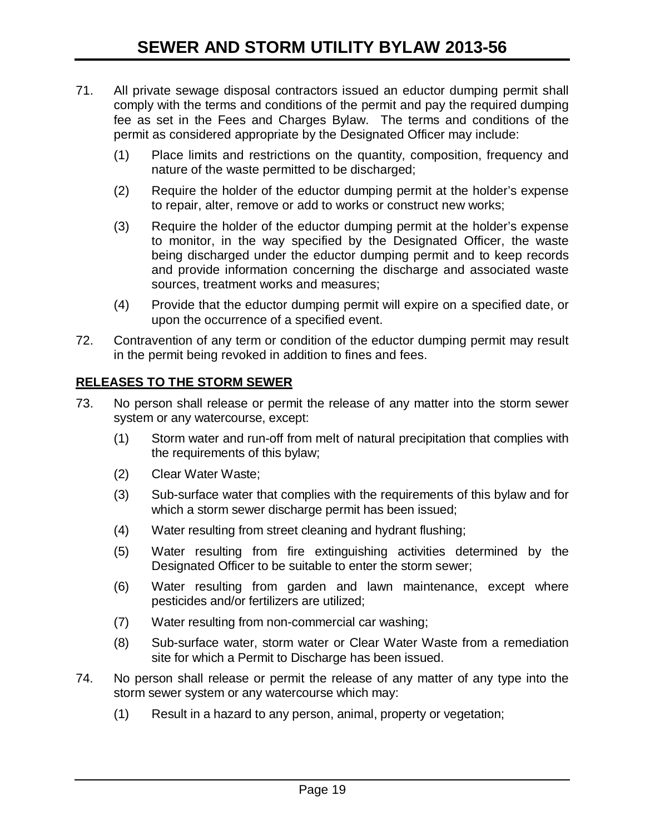- 71. All private sewage disposal contractors issued an eductor dumping permit shall comply with the terms and conditions of the permit and pay the required dumping fee as set in the Fees and Charges Bylaw. The terms and conditions of the permit as considered appropriate by the Designated Officer may include:
	- (1) Place limits and restrictions on the quantity, composition, frequency and nature of the waste permitted to be discharged;
	- (2) Require the holder of the eductor dumping permit at the holder's expense to repair, alter, remove or add to works or construct new works;
	- (3) Require the holder of the eductor dumping permit at the holder's expense to monitor, in the way specified by the Designated Officer, the waste being discharged under the eductor dumping permit and to keep records and provide information concerning the discharge and associated waste sources, treatment works and measures;
	- (4) Provide that the eductor dumping permit will expire on a specified date, or upon the occurrence of a specified event.
- 72. Contravention of any term or condition of the eductor dumping permit may result in the permit being revoked in addition to fines and fees.

# **RELEASES TO THE STORM SEWER**

- 73. No person shall release or permit the release of any matter into the storm sewer system or any watercourse, except:
	- (1) Storm water and run-off from melt of natural precipitation that complies with the requirements of this bylaw;
	- (2) Clear Water Waste;
	- (3) Sub-surface water that complies with the requirements of this bylaw and for which a storm sewer discharge permit has been issued;
	- (4) Water resulting from street cleaning and hydrant flushing;
	- (5) Water resulting from fire extinguishing activities determined by the Designated Officer to be suitable to enter the storm sewer;
	- (6) Water resulting from garden and lawn maintenance, except where pesticides and/or fertilizers are utilized;
	- (7) Water resulting from non-commercial car washing;
	- (8) Sub-surface water, storm water or Clear Water Waste from a remediation site for which a Permit to Discharge has been issued.
- 74. No person shall release or permit the release of any matter of any type into the storm sewer system or any watercourse which may:
	- (1) Result in a hazard to any person, animal, property or vegetation;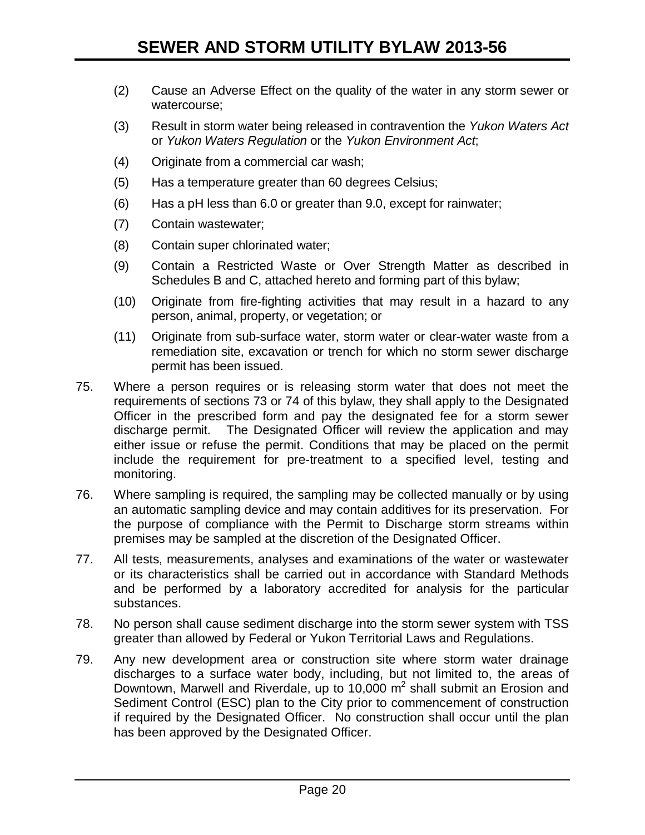- (2) Cause an Adverse Effect on the quality of the water in any storm sewer or watercourse;
- (3) Result in storm water being released in contravention the *Yukon Waters Act* or *Yukon Waters Regulation* or the *Yukon Environment Act*;
- (4) Originate from a commercial car wash;
- (5) Has a temperature greater than 60 degrees Celsius;
- (6) Has a pH less than 6.0 or greater than 9.0, except for rainwater;
- (7) Contain wastewater;
- (8) Contain super chlorinated water;
- (9) Contain a Restricted Waste or Over Strength Matter as described in Schedules B and C, attached hereto and forming part of this bylaw;
- (10) Originate from fire-fighting activities that may result in a hazard to any person, animal, property, or vegetation; or
- (11) Originate from sub-surface water, storm water or clear-water waste from a remediation site, excavation or trench for which no storm sewer discharge permit has been issued.
- 75. Where a person requires or is releasing storm water that does not meet the requirements of sections 73 or 74 of this bylaw, they shall apply to the Designated Officer in the prescribed form and pay the designated fee for a storm sewer discharge permit. The Designated Officer will review the application and may either issue or refuse the permit. Conditions that may be placed on the permit include the requirement for pre-treatment to a specified level, testing and monitoring.
- 76. Where sampling is required, the sampling may be collected manually or by using an automatic sampling device and may contain additives for its preservation. For the purpose of compliance with the Permit to Discharge storm streams within premises may be sampled at the discretion of the Designated Officer.
- 77. All tests, measurements, analyses and examinations of the water or wastewater or its characteristics shall be carried out in accordance with Standard Methods and be performed by a laboratory accredited for analysis for the particular substances.
- 78. No person shall cause sediment discharge into the storm sewer system with TSS greater than allowed by Federal or Yukon Territorial Laws and Regulations.
- 79. Any new development area or construction site where storm water drainage discharges to a surface water body, including, but not limited to, the areas of Downtown, Marwell and Riverdale, up to 10,000  $m^2$  shall submit an Erosion and Sediment Control (ESC) plan to the City prior to commencement of construction if required by the Designated Officer. No construction shall occur until the plan has been approved by the Designated Officer.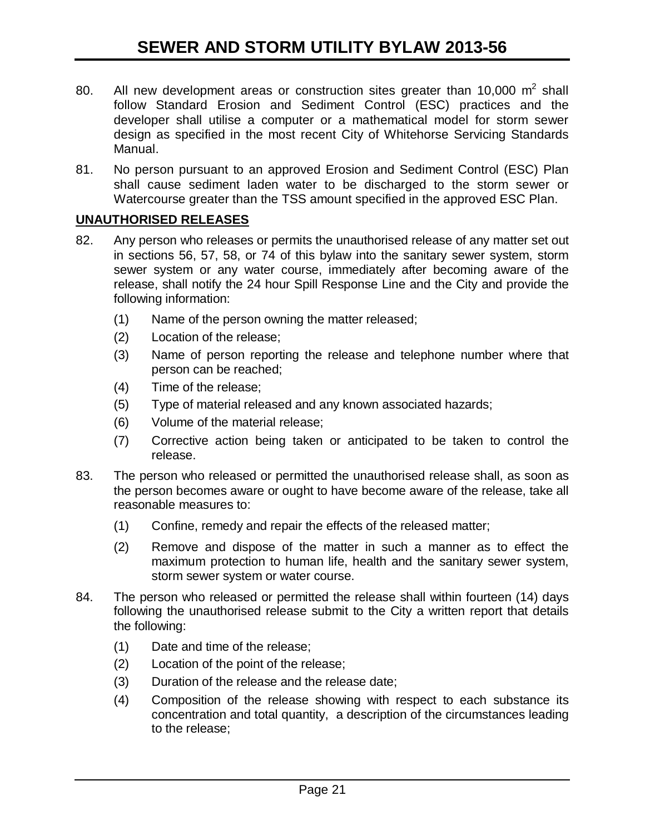- 80. All new development areas or construction sites greater than 10,000  $m^2$  shall follow Standard Erosion and Sediment Control (ESC) practices and the developer shall utilise a computer or a mathematical model for storm sewer design as specified in the most recent City of Whitehorse Servicing Standards Manual.
- 81. No person pursuant to an approved Erosion and Sediment Control (ESC) Plan shall cause sediment laden water to be discharged to the storm sewer or Watercourse greater than the TSS amount specified in the approved ESC Plan.

## **UNAUTHORISED RELEASES**

- 82. Any person who releases or permits the unauthorised release of any matter set out in sections 56, 57, 58, or 74 of this bylaw into the sanitary sewer system, storm sewer system or any water course, immediately after becoming aware of the release, shall notify the 24 hour Spill Response Line and the City and provide the following information:
	- (1) Name of the person owning the matter released;
	- (2) Location of the release;
	- (3) Name of person reporting the release and telephone number where that person can be reached;
	- (4) Time of the release;
	- (5) Type of material released and any known associated hazards;
	- (6) Volume of the material release;
	- (7) Corrective action being taken or anticipated to be taken to control the release.
- 83. The person who released or permitted the unauthorised release shall, as soon as the person becomes aware or ought to have become aware of the release, take all reasonable measures to:
	- (1) Confine, remedy and repair the effects of the released matter;
	- (2) Remove and dispose of the matter in such a manner as to effect the maximum protection to human life, health and the sanitary sewer system, storm sewer system or water course.
- 84. The person who released or permitted the release shall within fourteen (14) days following the unauthorised release submit to the City a written report that details the following:
	- (1) Date and time of the release;
	- (2) Location of the point of the release;
	- (3) Duration of the release and the release date;
	- (4) Composition of the release showing with respect to each substance its concentration and total quantity, a description of the circumstances leading to the release;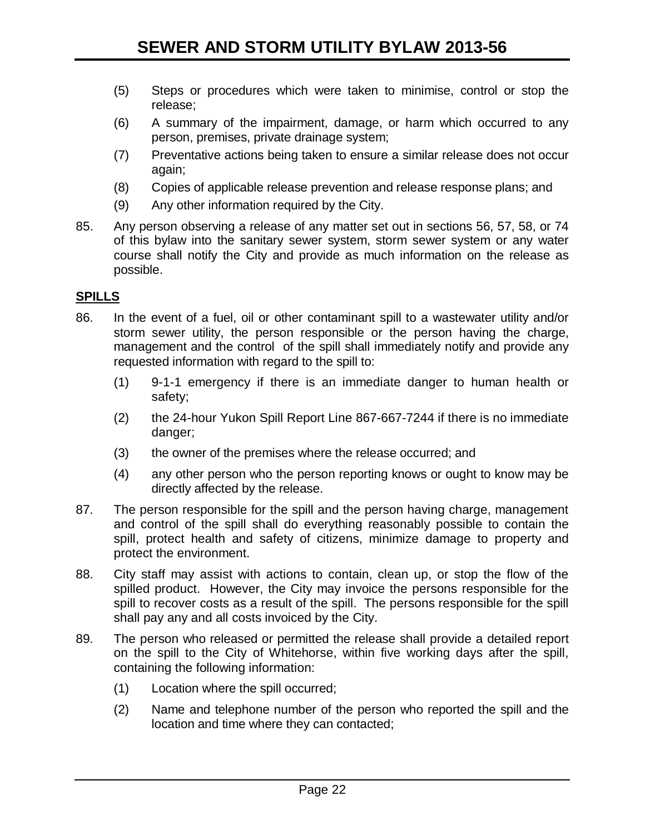- (5) Steps or procedures which were taken to minimise, control or stop the release;
- (6) A summary of the impairment, damage, or harm which occurred to any person, premises, private drainage system;
- (7) Preventative actions being taken to ensure a similar release does not occur again;
- (8) Copies of applicable release prevention and release response plans; and
- (9) Any other information required by the City.
- 85. Any person observing a release of any matter set out in sections 56, 57, 58, or 74 of this bylaw into the sanitary sewer system, storm sewer system or any water course shall notify the City and provide as much information on the release as possible.

#### **SPILLS**

- 86. In the event of a fuel, oil or other contaminant spill to a wastewater utility and/or storm sewer utility, the person responsible or the person having the charge, management and the control of the spill shall immediately notify and provide any requested information with regard to the spill to:
	- (1) 9-1-1 emergency if there is an immediate danger to human health or safety;
	- (2) the 24-hour Yukon Spill Report Line 867-667-7244 if there is no immediate danger;
	- (3) the owner of the premises where the release occurred; and
	- (4) any other person who the person reporting knows or ought to know may be directly affected by the release.
- 87. The person responsible for the spill and the person having charge, management and control of the spill shall do everything reasonably possible to contain the spill, protect health and safety of citizens, minimize damage to property and protect the environment.
- 88. City staff may assist with actions to contain, clean up, or stop the flow of the spilled product. However, the City may invoice the persons responsible for the spill to recover costs as a result of the spill. The persons responsible for the spill shall pay any and all costs invoiced by the City.
- 89. The person who released or permitted the release shall provide a detailed report on the spill to the City of Whitehorse, within five working days after the spill, containing the following information:
	- (1) Location where the spill occurred;
	- (2) Name and telephone number of the person who reported the spill and the location and time where they can contacted;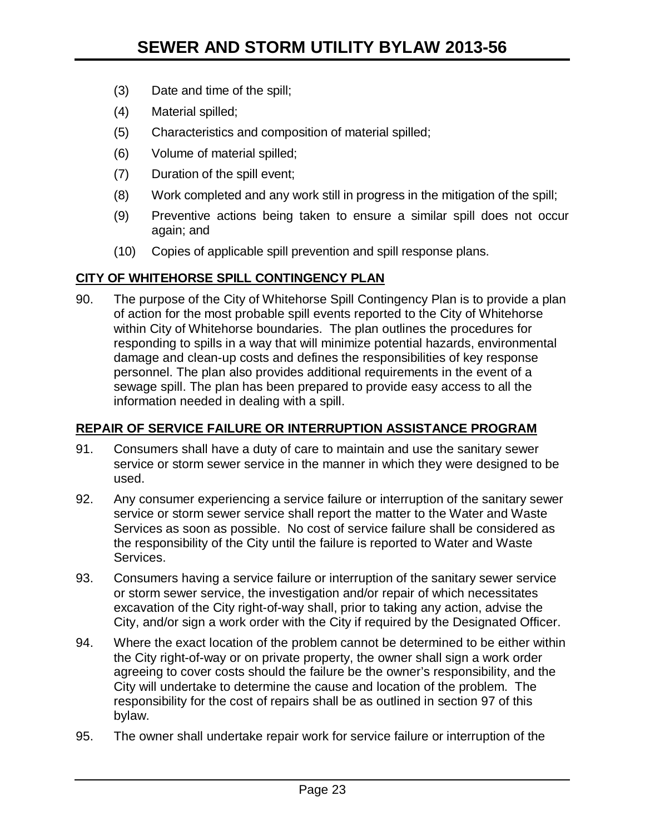- (3) Date and time of the spill;
- (4) Material spilled;
- (5) Characteristics and composition of material spilled;
- (6) Volume of material spilled;
- (7) Duration of the spill event;
- (8) Work completed and any work still in progress in the mitigation of the spill;
- (9) Preventive actions being taken to ensure a similar spill does not occur again; and
- (10) Copies of applicable spill prevention and spill response plans.

#### **CITY OF WHITEHORSE SPILL CONTINGENCY PLAN**

90. The purpose of the City of Whitehorse Spill Contingency Plan is to provide a plan of action for the most probable spill events reported to the City of Whitehorse within City of Whitehorse boundaries. The plan outlines the procedures for responding to spills in a way that will minimize potential hazards, environmental damage and clean-up costs and defines the responsibilities of key response personnel. The plan also provides additional requirements in the event of a sewage spill. The plan has been prepared to provide easy access to all the information needed in dealing with a spill.

## **REPAIR OF SERVICE FAILURE OR INTERRUPTION ASSISTANCE PROGRAM**

- 91. Consumers shall have a duty of care to maintain and use the sanitary sewer service or storm sewer service in the manner in which they were designed to be used.
- 92. Any consumer experiencing a service failure or interruption of the sanitary sewer service or storm sewer service shall report the matter to the Water and Waste Services as soon as possible. No cost of service failure shall be considered as the responsibility of the City until the failure is reported to Water and Waste Services.
- 93. Consumers having a service failure or interruption of the sanitary sewer service or storm sewer service, the investigation and/or repair of which necessitates excavation of the City right-of-way shall, prior to taking any action, advise the City, and/or sign a work order with the City if required by the Designated Officer.
- 94. Where the exact location of the problem cannot be determined to be either within the City right-of-way or on private property, the owner shall sign a work order agreeing to cover costs should the failure be the owner's responsibility, and the City will undertake to determine the cause and location of the problem. The responsibility for the cost of repairs shall be as outlined in section 97 of this bylaw.
- 95. The owner shall undertake repair work for service failure or interruption of the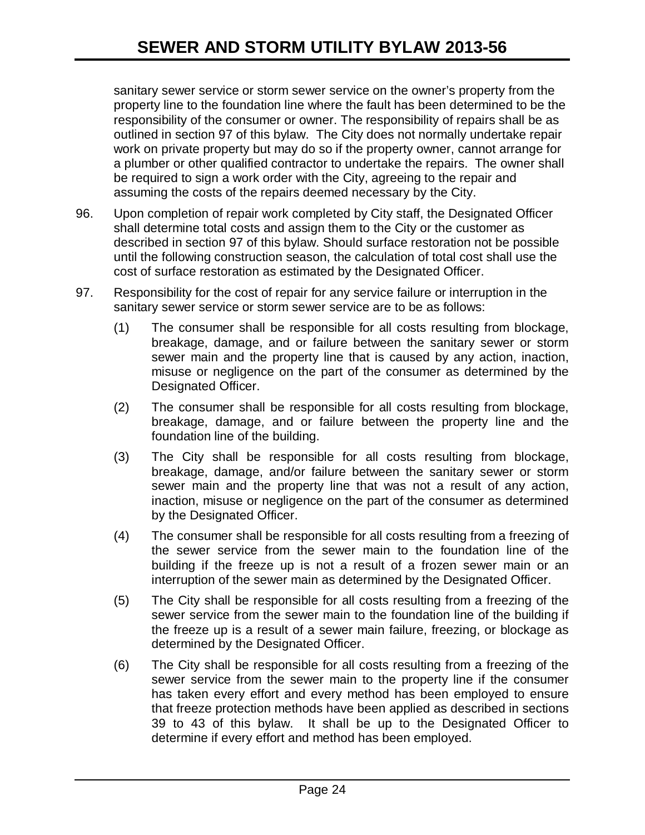sanitary sewer service or storm sewer service on the owner's property from the property line to the foundation line where the fault has been determined to be the responsibility of the consumer or owner. The responsibility of repairs shall be as outlined in section 97 of this bylaw. The City does not normally undertake repair work on private property but may do so if the property owner, cannot arrange for a plumber or other qualified contractor to undertake the repairs. The owner shall be required to sign a work order with the City, agreeing to the repair and assuming the costs of the repairs deemed necessary by the City.

- 96. Upon completion of repair work completed by City staff, the Designated Officer shall determine total costs and assign them to the City or the customer as described in section 97 of this bylaw. Should surface restoration not be possible until the following construction season, the calculation of total cost shall use the cost of surface restoration as estimated by the Designated Officer.
- 97. Responsibility for the cost of repair for any service failure or interruption in the sanitary sewer service or storm sewer service are to be as follows:
	- (1) The consumer shall be responsible for all costs resulting from blockage, breakage, damage, and or failure between the sanitary sewer or storm sewer main and the property line that is caused by any action, inaction, misuse or negligence on the part of the consumer as determined by the Designated Officer.
	- (2) The consumer shall be responsible for all costs resulting from blockage, breakage, damage, and or failure between the property line and the foundation line of the building.
	- (3) The City shall be responsible for all costs resulting from blockage, breakage, damage, and/or failure between the sanitary sewer or storm sewer main and the property line that was not a result of any action, inaction, misuse or negligence on the part of the consumer as determined by the Designated Officer.
	- (4) The consumer shall be responsible for all costs resulting from a freezing of the sewer service from the sewer main to the foundation line of the building if the freeze up is not a result of a frozen sewer main or an interruption of the sewer main as determined by the Designated Officer.
	- (5) The City shall be responsible for all costs resulting from a freezing of the sewer service from the sewer main to the foundation line of the building if the freeze up is a result of a sewer main failure, freezing, or blockage as determined by the Designated Officer.
	- (6) The City shall be responsible for all costs resulting from a freezing of the sewer service from the sewer main to the property line if the consumer has taken every effort and every method has been employed to ensure that freeze protection methods have been applied as described in sections 39 to 43 of this bylaw. It shall be up to the Designated Officer to determine if every effort and method has been employed.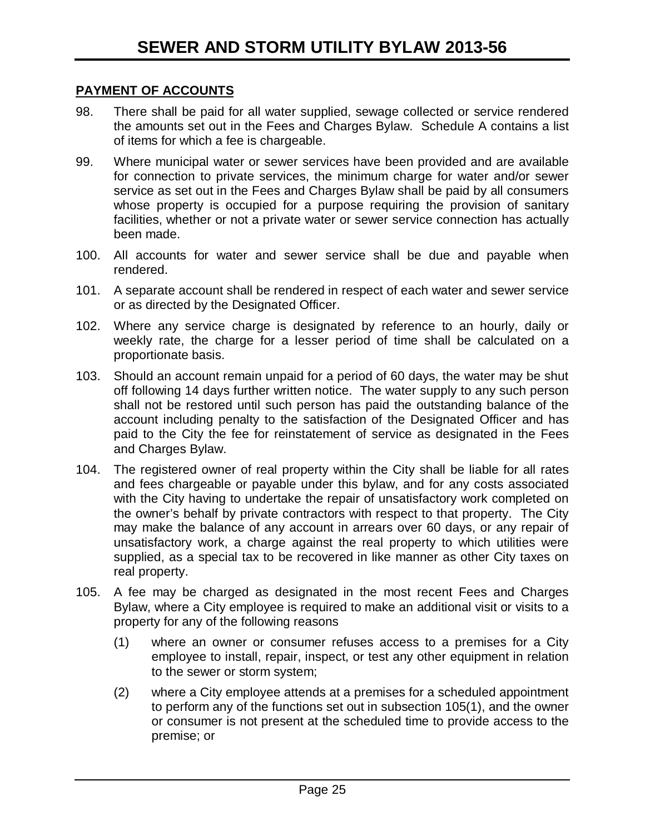#### **PAYMENT OF ACCOUNTS**

- 98. There shall be paid for all water supplied, sewage collected or service rendered the amounts set out in the Fees and Charges Bylaw. Schedule A contains a list of items for which a fee is chargeable.
- 99. Where municipal water or sewer services have been provided and are available for connection to private services, the minimum charge for water and/or sewer service as set out in the Fees and Charges Bylaw shall be paid by all consumers whose property is occupied for a purpose requiring the provision of sanitary facilities, whether or not a private water or sewer service connection has actually been made.
- 100. All accounts for water and sewer service shall be due and payable when rendered.
- 101. A separate account shall be rendered in respect of each water and sewer service or as directed by the Designated Officer.
- 102. Where any service charge is designated by reference to an hourly, daily or weekly rate, the charge for a lesser period of time shall be calculated on a proportionate basis.
- 103. Should an account remain unpaid for a period of 60 days, the water may be shut off following 14 days further written notice. The water supply to any such person shall not be restored until such person has paid the outstanding balance of the account including penalty to the satisfaction of the Designated Officer and has paid to the City the fee for reinstatement of service as designated in the Fees and Charges Bylaw.
- 104. The registered owner of real property within the City shall be liable for all rates and fees chargeable or payable under this bylaw, and for any costs associated with the City having to undertake the repair of unsatisfactory work completed on the owner's behalf by private contractors with respect to that property. The City may make the balance of any account in arrears over 60 days, or any repair of unsatisfactory work, a charge against the real property to which utilities were supplied, as a special tax to be recovered in like manner as other City taxes on real property.
- 105. A fee may be charged as designated in the most recent Fees and Charges Bylaw, where a City employee is required to make an additional visit or visits to a property for any of the following reasons
	- (1) where an owner or consumer refuses access to a premises for a City employee to install, repair, inspect, or test any other equipment in relation to the sewer or storm system;
	- (2) where a City employee attends at a premises for a scheduled appointment to perform any of the functions set out in subsection 105(1), and the owner or consumer is not present at the scheduled time to provide access to the premise; or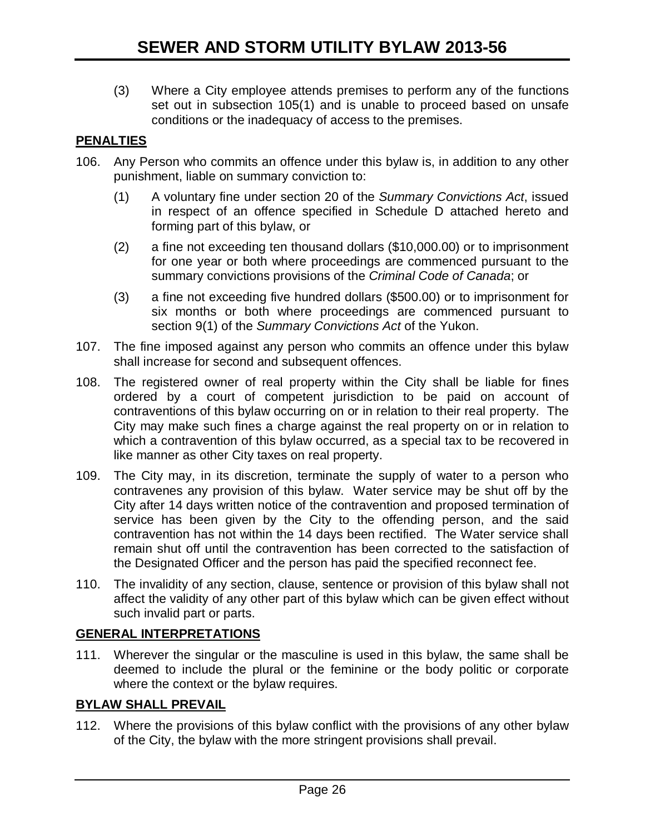(3) Where a City employee attends premises to perform any of the functions set out in subsection 105(1) and is unable to proceed based on unsafe conditions or the inadequacy of access to the premises.

## **PENALTIES**

- 106. Any Person who commits an offence under this bylaw is, in addition to any other punishment, liable on summary conviction to:
	- (1) A voluntary fine under section 20 of the *Summary Convictions Act*, issued in respect of an offence specified in Schedule D attached hereto and forming part of this bylaw, or
	- (2) a fine not exceeding ten thousand dollars (\$10,000.00) or to imprisonment for one year or both where proceedings are commenced pursuant to the summary convictions provisions of the *Criminal Code of Canada*; or
	- (3) a fine not exceeding five hundred dollars (\$500.00) or to imprisonment for six months or both where proceedings are commenced pursuant to section 9(1) of the *Summary Convictions Act* of the Yukon.
- 107. The fine imposed against any person who commits an offence under this bylaw shall increase for second and subsequent offences.
- 108. The registered owner of real property within the City shall be liable for fines ordered by a court of competent jurisdiction to be paid on account of contraventions of this bylaw occurring on or in relation to their real property. The City may make such fines a charge against the real property on or in relation to which a contravention of this bylaw occurred, as a special tax to be recovered in like manner as other City taxes on real property.
- 109. The City may, in its discretion, terminate the supply of water to a person who contravenes any provision of this bylaw. Water service may be shut off by the City after 14 days written notice of the contravention and proposed termination of service has been given by the City to the offending person, and the said contravention has not within the 14 days been rectified. The Water service shall remain shut off until the contravention has been corrected to the satisfaction of the Designated Officer and the person has paid the specified reconnect fee.
- 110. The invalidity of any section, clause, sentence or provision of this bylaw shall not affect the validity of any other part of this bylaw which can be given effect without such invalid part or parts.

## **GENERAL INTERPRETATIONS**

111. Wherever the singular or the masculine is used in this bylaw, the same shall be deemed to include the plural or the feminine or the body politic or corporate where the context or the bylaw requires.

## **BYLAW SHALL PREVAIL**

112. Where the provisions of this bylaw conflict with the provisions of any other bylaw of the City, the bylaw with the more stringent provisions shall prevail.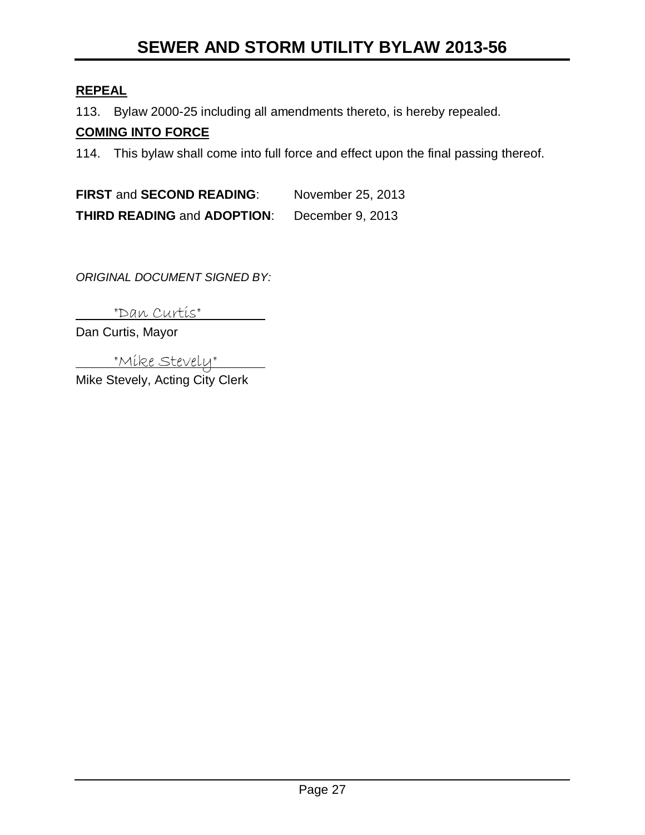# **SEWER AND STORM UTILITY BYLAW 2013-56**

## **REPEAL**

113. Bylaw 2000-25 including all amendments thereto, is hereby repealed.

## **COMING INTO FORCE**

114. This bylaw shall come into full force and effect upon the final passing thereof.

**FIRST** and **SECOND READING**: November 25, 2013 **THIRD READING** and **ADOPTION**: December 9, 2013

*ORIGINAL DOCUMENT SIGNED BY:*

"Dan Curtis"

Dan Curtis, Mayor

"Mike Stevely" Mike Stevely, Acting City Clerk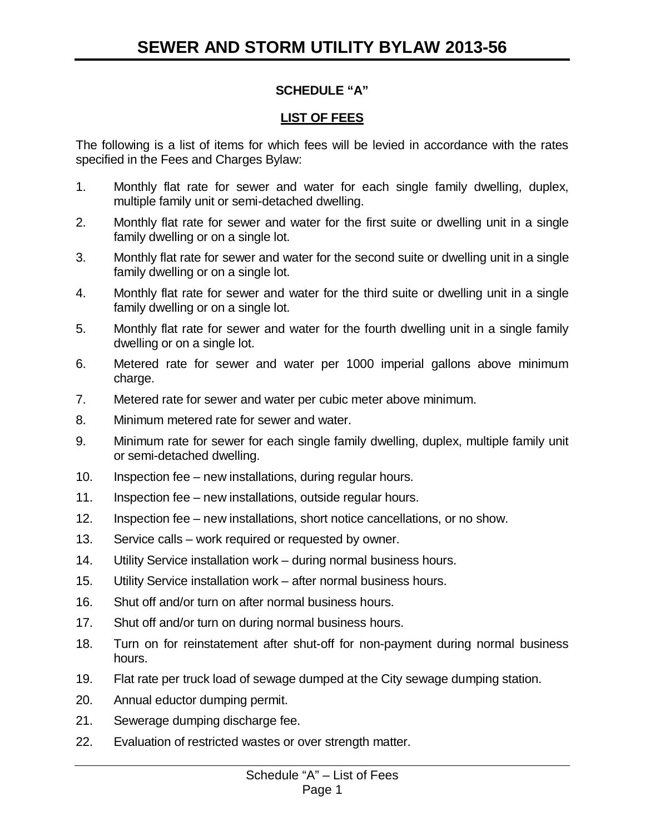# **SCHEDULE "A"**

## **LIST OF FEES**

The following is a list of items for which fees will be levied in accordance with the rates specified in the Fees and Charges Bylaw:

- 1. Monthly flat rate for sewer and water for each single family dwelling, duplex, multiple family unit or semi-detached dwelling.
- 2. Monthly flat rate for sewer and water for the first suite or dwelling unit in a single family dwelling or on a single lot.
- 3. Monthly flat rate for sewer and water for the second suite or dwelling unit in a single family dwelling or on a single lot.
- 4. Monthly flat rate for sewer and water for the third suite or dwelling unit in a single family dwelling or on a single lot.
- 5. Monthly flat rate for sewer and water for the fourth dwelling unit in a single family dwelling or on a single lot.
- 6. Metered rate for sewer and water per 1000 imperial gallons above minimum charge.
- 7. Metered rate for sewer and water per cubic meter above minimum.
- 8. Minimum metered rate for sewer and water.
- 9. Minimum rate for sewer for each single family dwelling, duplex, multiple family unit or semi-detached dwelling.
- 10. Inspection fee new installations, during regular hours.
- 11. Inspection fee new installations, outside regular hours.
- 12. Inspection fee new installations, short notice cancellations, or no show.
- 13. Service calls work required or requested by owner.
- 14. Utility Service installation work during normal business hours.
- 15. Utility Service installation work after normal business hours.
- 16. Shut off and/or turn on after normal business hours.
- 17. Shut off and/or turn on during normal business hours.
- 18. Turn on for reinstatement after shut-off for non-payment during normal business hours.
- 19. Flat rate per truck load of sewage dumped at the City sewage dumping station.
- 20. Annual eductor dumping permit.
- 21. Sewerage dumping discharge fee.
- 22. Evaluation of restricted wastes or over strength matter.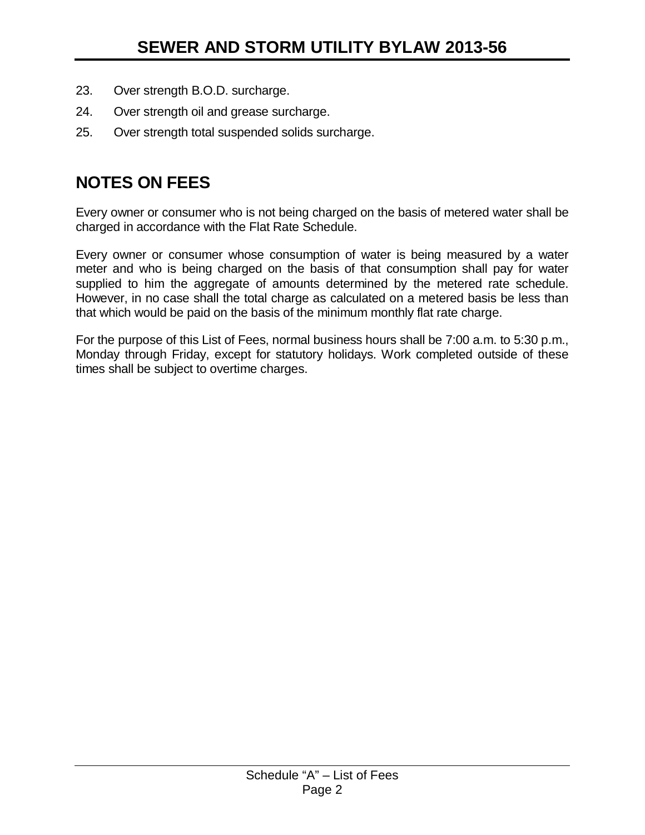- 23. Over strength B.O.D. surcharge.
- 24. Over strength oil and grease surcharge.
- 25. Over strength total suspended solids surcharge.

# **NOTES ON FEES**

Every owner or consumer who is not being charged on the basis of metered water shall be charged in accordance with the Flat Rate Schedule.

Every owner or consumer whose consumption of water is being measured by a water meter and who is being charged on the basis of that consumption shall pay for water supplied to him the aggregate of amounts determined by the metered rate schedule. However, in no case shall the total charge as calculated on a metered basis be less than that which would be paid on the basis of the minimum monthly flat rate charge.

For the purpose of this List of Fees, normal business hours shall be 7:00 a.m. to 5:30 p.m., Monday through Friday, except for statutory holidays. Work completed outside of these times shall be subject to overtime charges.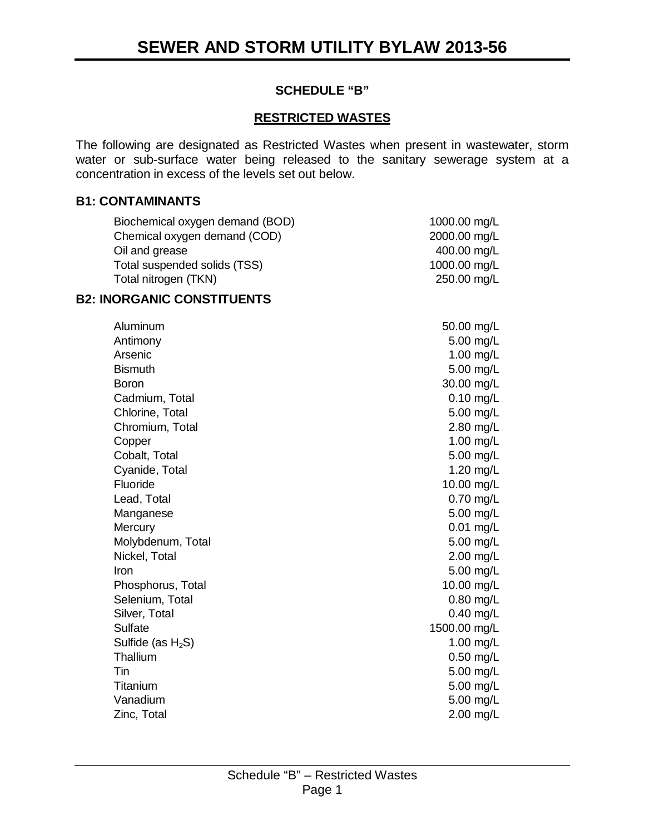## **SCHEDULE "B"**

## **RESTRICTED WASTES**

The following are designated as Restricted Wastes when present in wastewater, storm water or sub-surface water being released to the sanitary sewerage system at a concentration in excess of the levels set out below.

#### **B1: CONTAMINANTS**

| Biochemical oxygen demand (BOD) | 1000.00 mg/L |
|---------------------------------|--------------|
| Chemical oxygen demand (COD)    | 2000.00 mg/L |
| Oil and grease                  | 400.00 mg/L  |
| Total suspended solids (TSS)    | 1000.00 mg/L |
| Total nitrogen (TKN)            | 250.00 mg/L  |
|                                 |              |

#### **B2: INORGANIC CONSTITUENTS**

| Aluminum             | 50.00 mg/L   |
|----------------------|--------------|
| Antimony             | 5.00 mg/L    |
| Arsenic              | 1.00 mg/L    |
| <b>Bismuth</b>       | 5.00 mg/L    |
| <b>Boron</b>         | 30.00 mg/L   |
| Cadmium, Total       | $0.10$ mg/L  |
| Chlorine, Total      | 5.00 mg/L    |
| Chromium, Total      | 2.80 mg/L    |
| Copper               | 1.00 mg/L    |
| Cobalt, Total        | 5.00 mg/L    |
| Cyanide, Total       | 1.20 mg/L    |
| Fluoride             | 10.00 mg/L   |
| Lead, Total          | 0.70 mg/L    |
| Manganese            | 5.00 mg/L    |
| Mercury              | $0.01$ mg/L  |
| Molybdenum, Total    | 5.00 mg/L    |
| Nickel, Total        | 2.00 mg/L    |
| Iron                 | 5.00 mg/L    |
| Phosphorus, Total    | 10.00 mg/L   |
| Selenium, Total      | 0.80 mg/L    |
| Silver, Total        | 0.40 mg/L    |
| Sulfate              | 1500.00 mg/L |
| Sulfide (as $H_2S$ ) | 1.00 mg/L    |
| Thallium             | 0.50 mg/L    |
| Tin                  | 5.00 mg/L    |
| Titanium             | 5.00 mg/L    |
| Vanadium             | 5.00 mg/L    |
| Zinc, Total          | $2.00$ mg/L  |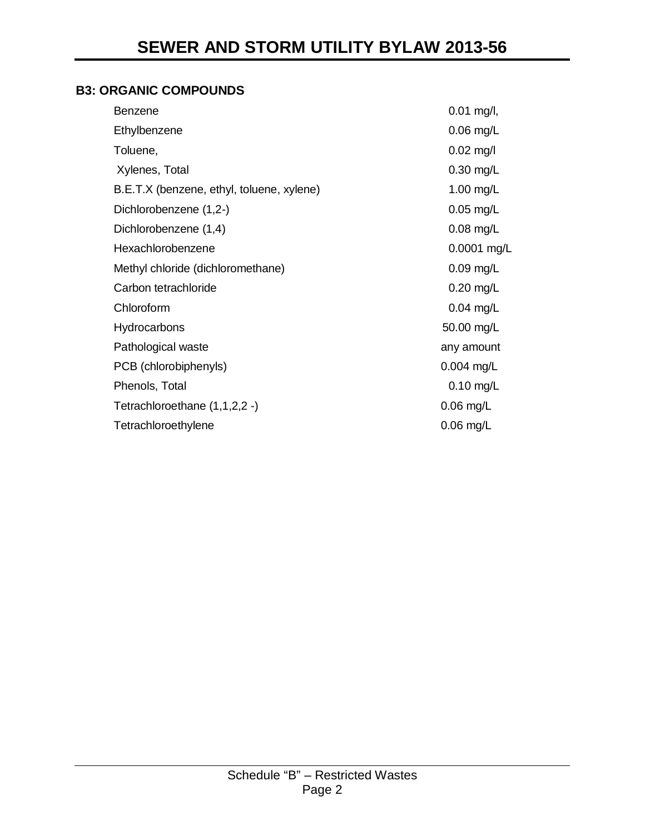## **B3: ORGANIC COMPOUNDS**

| Benzene                                   | $0.01$ mg/l, |
|-------------------------------------------|--------------|
| Ethylbenzene                              | $0.06$ mg/L  |
| Toluene,                                  | $0.02$ mg/l  |
| Xylenes, Total                            | $0.30$ mg/L  |
| B.E.T.X (benzene, ethyl, toluene, xylene) | 1.00 mg/L    |
| Dichlorobenzene (1,2-)                    | $0.05$ mg/L  |
| Dichlorobenzene (1,4)                     | $0.08$ mg/L  |
| Hexachlorobenzene                         | 0.0001 mg/L  |
| Methyl chloride (dichloromethane)         | 0.09 mg/L    |
| Carbon tetrachloride                      | $0.20$ mg/L  |
| Chloroform                                | $0.04$ mg/L  |
| Hydrocarbons                              | 50.00 mg/L   |
| Pathological waste                        | any amount   |
| PCB (chlorobiphenyls)                     | $0.004$ mg/L |
| Phenols, Total                            | $0.10$ mg/L  |
| Tetrachloroethane (1,1,2,2 -)             | 0.06 mg/L    |
| Tetrachloroethylene                       | $0.06$ mg/L  |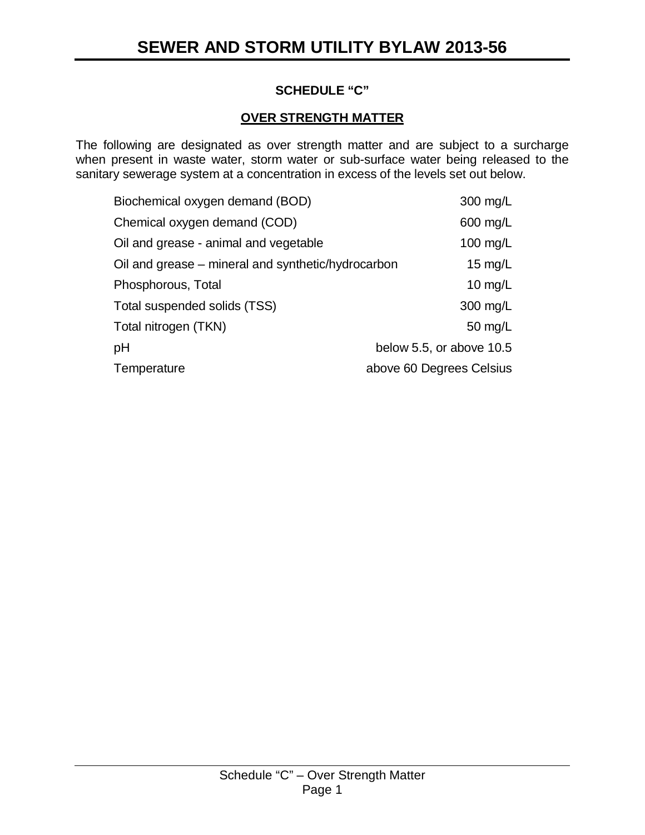## **SCHEDULE "C"**

## **OVER STRENGTH MATTER**

The following are designated as over strength matter and are subject to a surcharge when present in waste water, storm water or sub-surface water being released to the sanitary sewerage system at a concentration in excess of the levels set out below.

| Biochemical oxygen demand (BOD)                    | 300 mg/L                 |
|----------------------------------------------------|--------------------------|
| Chemical oxygen demand (COD)                       | 600 mg/L                 |
| Oil and grease - animal and vegetable              | 100 mg/L                 |
| Oil and grease – mineral and synthetic/hydrocarbon | 15 $mg/L$                |
| Phosphorous, Total                                 | 10 $mg/L$                |
| Total suspended solids (TSS)                       | 300 mg/L                 |
| Total nitrogen (TKN)                               | 50 mg/L                  |
| pH                                                 | below 5.5, or above 10.5 |
| Temperature                                        | above 60 Degrees Celsius |